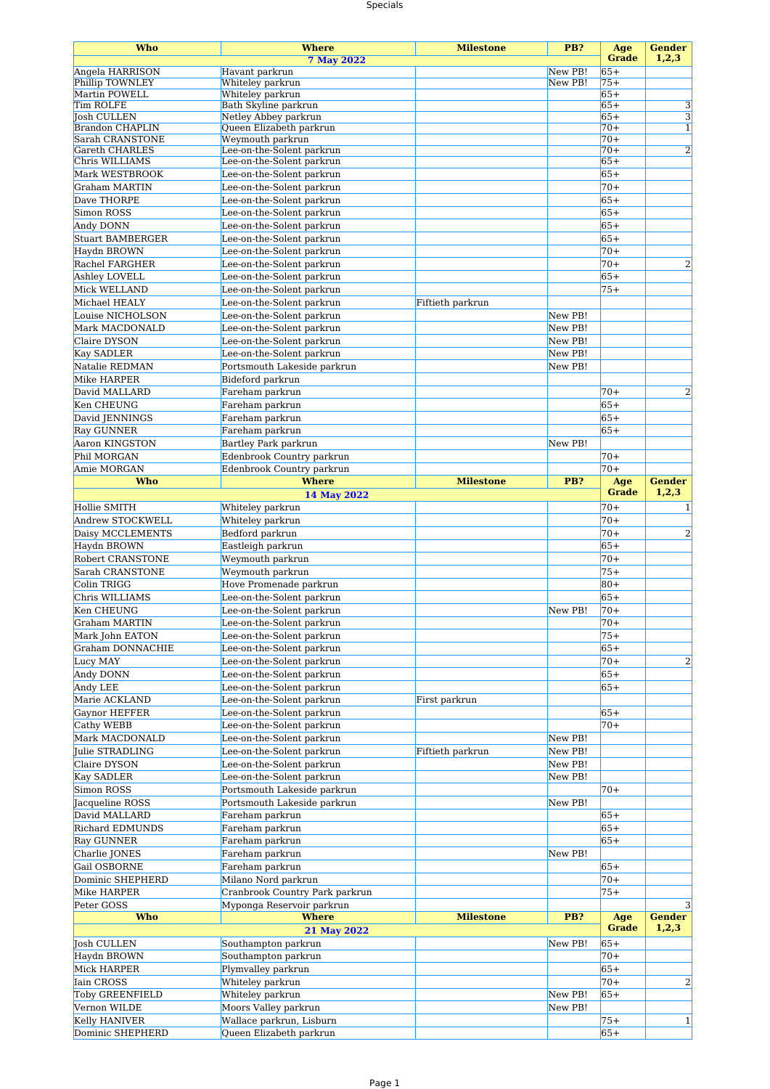## Specials

| Who                                      | <b>Where</b>                                           | <b>Milestone</b> | PB?     | Age                 | <b>Gender</b>           |
|------------------------------------------|--------------------------------------------------------|------------------|---------|---------------------|-------------------------|
|                                          | <b>7 May 2022</b>                                      |                  |         | <b>Grade</b>        | 1,2,3                   |
| Angela HARRISON                          | Havant parkrun                                         |                  | New PB! | $65+$               |                         |
| <b>Phillip TOWNLEY</b><br>Martin POWELL  | Whiteley parkrun<br>Whiteley parkrun                   |                  | New PB! | $75+$<br>$65+$      |                         |
| Tim ROLFE                                | Bath Skyline parkrun                                   |                  |         | $65+$               | 3                       |
| <b>Josh CULLEN</b>                       | Netley Abbey parkrun                                   |                  |         | $65+$               | $\overline{3}$          |
| <b>Brandon CHAPLIN</b>                   | Queen Elizabeth parkrun                                |                  |         | $70+$               | $\mathbf{1}$            |
| Sarah CRANSTONE<br><b>Gareth CHARLES</b> | Weymouth parkrun<br>Lee-on-the-Solent parkrun          |                  |         | $70+$<br>$70+$      | $\overline{2}$          |
| Chris WILLIAMS                           | Lee-on-the-Solent parkrun                              |                  |         | $65+$               |                         |
| Mark WESTBROOK                           | Lee-on-the-Solent parkrun                              |                  |         | $65+$               |                         |
| Graham MARTIN                            | Lee-on-the-Solent parkrun                              |                  |         | $70+$               |                         |
| Dave THORPE                              | Lee-on-the-Solent parkrun                              |                  |         | $65+$               |                         |
| Simon ROSS                               | Lee-on-the-Solent parkrun                              |                  |         | $65+$               |                         |
| Andy DONN                                | Lee-on-the-Solent parkrun                              |                  |         | $65+$               |                         |
| <b>Stuart BAMBERGER</b>                  | Lee-on-the-Solent parkrun                              |                  |         | $65+$               |                         |
| Haydn BROWN                              | Lee-on-the-Solent parkrun                              |                  |         | $70+$               |                         |
| Rachel FARGHER                           | Lee-on-the-Solent parkrun                              |                  |         | $70+$               | $\overline{\mathbf{c}}$ |
| Ashley LOVELL                            | Lee-on-the-Solent parkrun                              |                  |         | $65+$               |                         |
| Mick WELLAND                             | Lee-on-the-Solent parkrun                              |                  |         | $75+$               |                         |
| Michael HEALY                            | Lee-on-the-Solent parkrun                              | Fiftieth parkrun |         |                     |                         |
| Louise NICHOLSON                         | Lee-on-the-Solent parkrun                              |                  | New PB! |                     |                         |
| Mark MACDONALD                           | Lee-on-the-Solent parkrun                              |                  | New PB! |                     |                         |
| Claire DYSON                             | Lee-on-the-Solent parkrun                              |                  | New PB! |                     |                         |
| <b>Kay SADLER</b>                        | Lee-on-the-Solent parkrun                              |                  | New PB! |                     |                         |
| Natalie REDMAN                           | Portsmouth Lakeside parkrun                            |                  | New PB! |                     |                         |
| Mike HARPER                              | Bideford parkrun                                       |                  |         |                     |                         |
| David MALLARD                            | Fareham parkrun                                        |                  |         | $70+$               | $\overline{2}$          |
| Ken CHEUNG                               | Fareham parkrun                                        |                  |         | $65+$               |                         |
| David JENNINGS                           | Fareham parkrun                                        |                  |         | $65+$<br>$65+$      |                         |
| <b>Ray GUNNER</b>                        | Fareham parkrun                                        |                  |         |                     |                         |
| Aaron KINGSTON<br>Phil MORGAN            | Bartley Park parkrun<br>Edenbrook Country parkrun      |                  | New PB! | $70+$               |                         |
| Amie MORGAN                              | Edenbrook Country parkrun                              |                  |         | $70+$               |                         |
| <b>Who</b>                               | <b>Where</b>                                           | <b>Milestone</b> | PB?     | Age                 | <b>Gender</b>           |
|                                          | 14 May 2022                                            |                  |         | <b>Grade</b>        | 1,2,3                   |
| Hollie SMITH                             | Whiteley parkrun                                       |                  |         | $70+$               | 1                       |
| Andrew STOCKWELL                         | Whiteley parkrun                                       |                  |         | $70+$               |                         |
| Daisy MCCLEMENTS                         | Bedford parkrun                                        |                  |         | $70+$               | $\overline{2}$          |
| Haydn BROWN                              | Eastleigh parkrun                                      |                  |         | $65+$               |                         |
| <b>Robert CRANSTONE</b>                  | Weymouth parkrun                                       |                  |         | $70+$               |                         |
| Sarah CRANSTONE                          | Weymouth parkrun                                       |                  |         | $75+$               |                         |
| Colin TRIGG                              | Hove Promenade parkrun                                 |                  |         | $80+$               |                         |
| Chris WILLIAMS                           | Lee-on-the-Solent parkrun                              |                  |         | $65+$               |                         |
| Ken CHEUNG                               | Lee-on-the-Solent parkrun                              |                  | New PB! | $70+$               |                         |
| Graham MARTIN                            | Lee-on-the-Solent parkrun                              |                  |         | $70+$               |                         |
| Mark John EATON                          | Lee-on-the-Solent parkrun                              |                  |         | $75+$               |                         |
| Graham DONNACHIE                         | Lee-on-the-Solent parkrun                              |                  |         | $65+$               |                         |
| Lucy MAY                                 | Lee-on-the-Solent parkrun                              |                  |         | $70+$               | 2                       |
| Andy DONN                                | Lee-on-the-Solent parkrun                              |                  |         | $65+$               |                         |
| Andy LEE<br>Marie ACKLAND                | Lee-on-the-Solent parkrun<br>Lee-on-the-Solent parkrun |                  |         | $65+$               |                         |
| <b>Gaynor HEFFER</b>                     | Lee-on-the-Solent parkrun                              | First parkrun    |         | $65+$               |                         |
| Cathy WEBB                               | Lee-on-the-Solent parkrun                              |                  |         | $70+$               |                         |
| Mark MACDONALD                           | Lee-on-the-Solent parkrun                              |                  | New PB! |                     |                         |
| Julie STRADLING                          | Lee-on-the-Solent parkrun                              | Fiftieth parkrun | New PB! |                     |                         |
| Claire DYSON                             | Lee-on-the-Solent parkrun                              |                  | New PB! |                     |                         |
| <b>Kay SADLER</b>                        | Lee-on-the-Solent parkrun                              |                  | New PB! |                     |                         |
| Simon ROSS                               | Portsmouth Lakeside parkrun                            |                  |         | $70+$               |                         |
| Jacqueline ROSS                          | Portsmouth Lakeside parkrun                            |                  | New PB! |                     |                         |
| David MALLARD                            | Fareham parkrun                                        |                  |         | $65+$               |                         |
| Richard EDMUNDS                          | Fareham parkrun                                        |                  |         | $65+$               |                         |
| <b>Ray GUNNER</b>                        | Fareham parkrun                                        |                  |         | $65+$               |                         |
| Charlie JONES                            | Fareham parkrun                                        |                  | New PB! |                     |                         |
| Gail OSBORNE                             | Fareham parkrun                                        |                  |         | $65+$               |                         |
| Dominic SHEPHERD                         | Milano Nord parkrun                                    |                  |         | $70+$               |                         |
| Mike HARPER                              | Cranbrook Country Park parkrun                         |                  |         | $75+$               |                         |
| Peter GOSS                               | Myponga Reservoir parkrun                              |                  |         |                     | $\overline{\mathbf{3}}$ |
| <b>Who</b>                               | <b>Where</b>                                           | <b>Milestone</b> | PB?     | Age<br><b>Grade</b> | <b>Gender</b><br>1,2,3  |
|                                          | 21 May 2022                                            |                  |         |                     |                         |
| Josh CULLEN<br>Haydn BROWN               | Southampton parkrun<br>Southampton parkrun             |                  | New PB! | $65+$<br>$70+$      |                         |
| Mick HARPER                              | Plymvalley parkrun                                     |                  |         | $65+$               |                         |
| Iain CROSS                               | Whiteley parkrun                                       |                  |         | $70+$               | 2                       |
| <b>Toby GREENFIELD</b>                   | Whiteley parkrun                                       |                  | New PB! | $65+$               |                         |
| Vernon WILDE                             | Moors Valley parkrun                                   |                  | New PB! |                     |                         |
| Kelly HANIVER                            | Wallace parkrun, Lisburn                               |                  |         | $75+$               | $1\vert$                |
| Dominic SHEPHERD                         | Queen Elizabeth parkrun                                |                  |         | $65+$               |                         |
|                                          |                                                        |                  |         |                     |                         |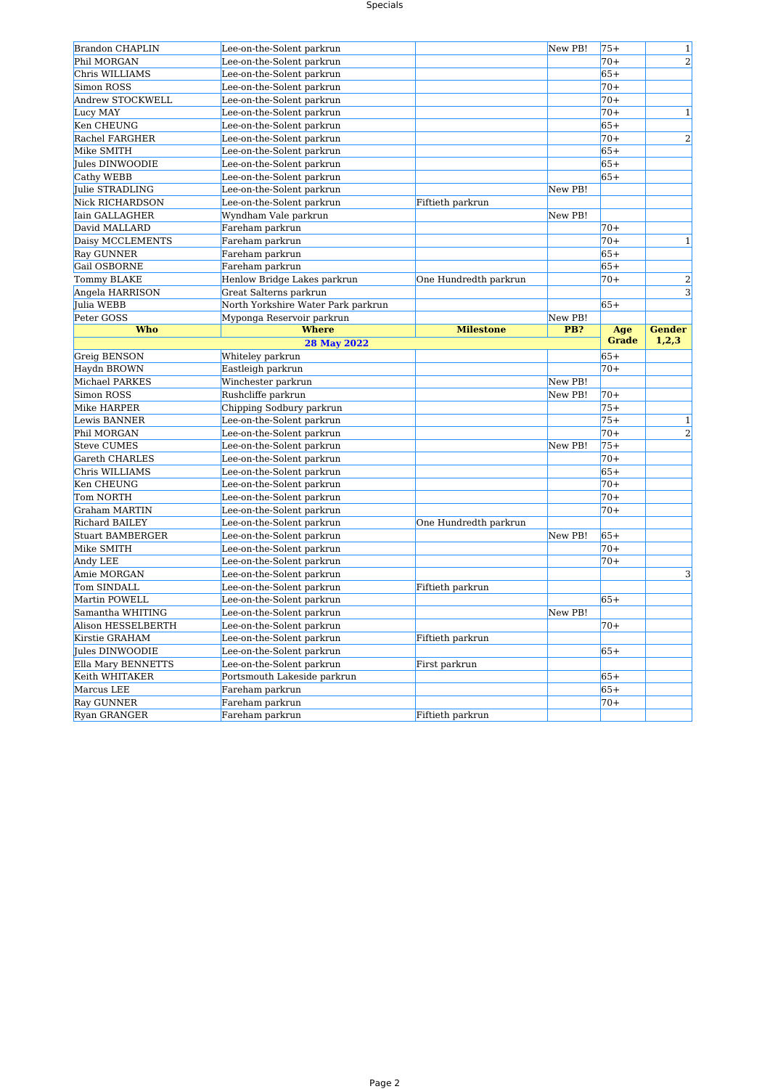## Specials

| <b>Brandon CHAPLIN</b>            | Lee-on-the-Solent parkrun          |                       | New PB! | $75+$        | $\mathbf{1}$   |
|-----------------------------------|------------------------------------|-----------------------|---------|--------------|----------------|
| Phil MORGAN                       | Lee-on-the-Solent parkrun          |                       |         | $70+$        | $\overline{2}$ |
| Chris WILLIAMS                    | Lee-on-the-Solent parkrun          |                       |         | $65+$        |                |
| Simon ROSS                        | Lee-on-the-Solent parkrun          |                       |         | $70+$        |                |
| Andrew STOCKWELL                  | Lee-on-the-Solent parkrun          |                       |         | $70+$        |                |
| Lucy MAY                          | Lee-on-the-Solent parkrun          |                       |         | $70+$        | $\mathbf{1}$   |
| Ken CHEUNG                        | Lee-on-the-Solent parkrun          |                       |         | $65+$        |                |
| Rachel FARGHER                    | Lee-on-the-Solent parkrun          |                       |         | $70+$        | $\overline{2}$ |
| Mike SMITH                        | Lee-on-the-Solent parkrun          |                       |         | $65+$        |                |
| Jules DINWOODIE                   | Lee-on-the-Solent parkrun          |                       |         | $65+$        |                |
| Cathy WEBB                        | Lee-on-the-Solent parkrun          |                       |         | $65+$        |                |
| Julie STRADLING                   | Lee-on-the-Solent parkrun          |                       | New PB! |              |                |
| <b>Nick RICHARDSON</b>            | Lee-on-the-Solent parkrun          | Fiftieth parkrun      |         |              |                |
| Iain GALLAGHER                    | Wyndham Vale parkrun               |                       | New PB! |              |                |
| David MALLARD                     | Fareham parkrun                    |                       |         | $70+$        |                |
| Daisy MCCLEMENTS                  | Fareham parkrun                    |                       |         | $70+$        | $\mathbf{1}$   |
| <b>Ray GUNNER</b>                 | Fareham parkrun                    |                       |         | $65+$        |                |
| Gail OSBORNE                      | Fareham parkrun                    |                       |         | $65+$        |                |
| <b>Tommy BLAKE</b>                | Henlow Bridge Lakes parkrun        | One Hundredth parkrun |         | $70+$        | $\overline{2}$ |
| Angela HARRISON                   | Great Salterns parkrun             |                       |         |              | $\overline{3}$ |
| Julia WEBB                        | North Yorkshire Water Park parkrun |                       |         | $65+$        |                |
| Peter GOSS                        | Myponga Reservoir parkrun          |                       | New PB! |              |                |
| Who                               | <b>Where</b>                       | <b>Milestone</b>      | PB?     | Age          | <b>Gender</b>  |
|                                   | 28 May 2022                        |                       |         | <b>Grade</b> | 1,2,3          |
| Greig BENSON                      | Whiteley parkrun                   |                       |         | $65+$        |                |
| Haydn BROWN                       | Eastleigh parkrun                  |                       |         | $70+$        |                |
| Michael PARKES                    | Winchester parkrun                 |                       | New PB! |              |                |
| Simon ROSS                        | Rushcliffe parkrun                 |                       | New PB! | $70+$        |                |
| Mike HARPER                       | Chipping Sodbury parkrun           |                       |         | $75+$        |                |
| Lewis BANNER                      | Lee-on-the-Solent parkrun          |                       |         | $75+$        | $\mathbf 1$    |
| Phil MORGAN                       | Lee-on-the-Solent parkrun          |                       |         | $70+$        | $\overline{2}$ |
| <b>Steve CUMES</b>                | Lee-on-the-Solent parkrun          |                       | New PB! | $75+$        |                |
| Gareth CHARLES                    | Lee-on-the-Solent parkrun          |                       |         | $70+$        |                |
| Chris WILLIAMS                    | Lee-on-the-Solent parkrun          |                       |         | $65+$        |                |
| Ken CHEUNG                        | Lee-on-the-Solent parkrun          |                       |         | $70+$        |                |
| Tom NORTH                         | Lee-on-the-Solent parkrun          |                       |         | $70+$        |                |
| Graham MARTIN                     | Lee-on-the-Solent parkrun          |                       |         | $70+$        |                |
| <b>Richard BAILEY</b>             | Lee-on-the-Solent parkrun          | One Hundredth parkrun |         |              |                |
| <b>Stuart BAMBERGER</b>           | Lee-on-the-Solent parkrun          |                       | New PB! | $65+$        |                |
| Mike SMITH                        | Lee-on-the-Solent parkrun          |                       |         | $70+$        |                |
| Andy LEE                          | Lee-on-the-Solent parkrun          |                       |         | $70+$        |                |
| Amie MORGAN                       | Lee-on-the-Solent parkrun          |                       |         |              | 3              |
| Tom SINDALL                       | Lee-on-the-Solent parkrun          | Fiftieth parkrun      |         |              |                |
| Martin POWELL                     | Lee-on-the-Solent parkrun          |                       |         | $65+$        |                |
| Samantha WHITING                  | Lee-on-the-Solent parkrun          |                       | New PB! |              |                |
| Alison HESSELBERTH                | Lee-on-the-Solent parkrun          |                       |         | $70+$        |                |
| Kirstie GRAHAM                    | Lee-on-the-Solent parkrun          | Fiftieth parkrun      |         |              |                |
| Jules DINWOODIE                   |                                    |                       |         | $65+$        |                |
|                                   | Lee-on-the-Solent parkrun          |                       |         |              |                |
| Ella Mary BENNETTS                | Lee-on-the-Solent parkrun          | First parkrun         |         |              |                |
| Keith WHITAKER                    | Portsmouth Lakeside parkrun        |                       |         | $65+$        |                |
| Marcus LEE                        | Fareham parkrun                    |                       |         | $65+$        |                |
| <b>Ray GUNNER</b><br>Ryan GRANGER | Fareham parkrun<br>Fareham parkrun | Fiftieth parkrun      |         | $70+$        |                |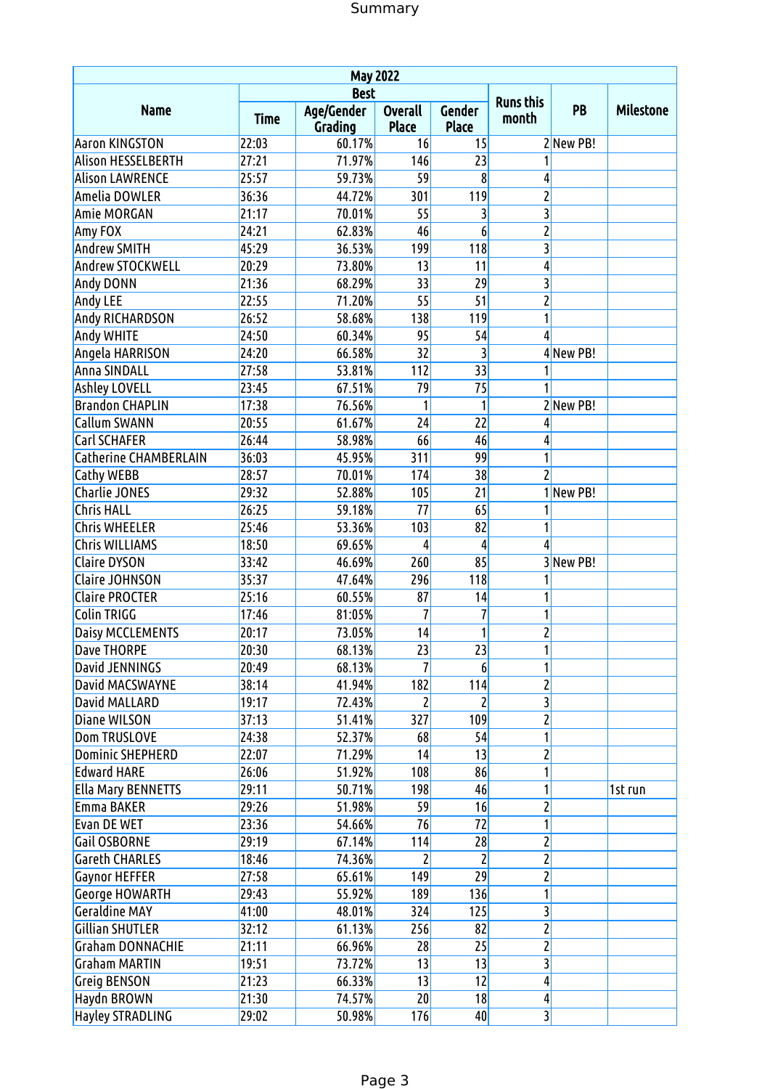| <b>May 2022</b>              |             |                       |                                |                        |                           |           |                  |  |  |  |  |
|------------------------------|-------------|-----------------------|--------------------------------|------------------------|---------------------------|-----------|------------------|--|--|--|--|
|                              |             | <b>Best</b>           |                                |                        |                           |           |                  |  |  |  |  |
| <b>Name</b>                  | <b>Time</b> | Age/Gender<br>Grading | <b>Overall</b><br><b>Place</b> | Gender<br><b>Place</b> | <b>Runs this</b><br>month | PB        | <b>Milestone</b> |  |  |  |  |
| <b>Aaron KINGSTON</b>        | 22:03       | 60.17%                | 16                             | 15                     |                           | 2New PB!  |                  |  |  |  |  |
| <b>Alison HESSELBERTH</b>    | 27:21       | 71.97%                | 146                            | 23                     | 1                         |           |                  |  |  |  |  |
| <b>Alison LAWRENCE</b>       | 25:57       | 59.73%                | 59                             | 8                      | 4                         |           |                  |  |  |  |  |
| Amelia DOWLER                | 36:36       | 44.72%                | 301                            | 119                    | $\overline{c}$            |           |                  |  |  |  |  |
| <b>Amie MORGAN</b>           | 21:17       | 70.01%                | 55                             | 3                      | 3                         |           |                  |  |  |  |  |
| Amy FOX                      | 24:21       | 62.83%                | 46                             | 6                      | 2                         |           |                  |  |  |  |  |
| <b>Andrew SMITH</b>          | 45:29       | 36.53%                | 199                            | 118                    | 3                         |           |                  |  |  |  |  |
| Andrew STOCKWELL             | 20:29       | 73.80%                | 13                             | 11                     | 4                         |           |                  |  |  |  |  |
| Andy DONN                    | 21:36       | 68.29%                | 33                             | 29                     | 3                         |           |                  |  |  |  |  |
| <b>Andy LEE</b>              | 22:55       | 71.20%                | 55                             | 51                     | 2                         |           |                  |  |  |  |  |
| Andy RICHARDSON              | 26:52       | 58.68%                | 138                            | 119                    | 1                         |           |                  |  |  |  |  |
| Andy WHITE                   | 24:50       | 60.34%                | 95                             | 54                     | 4                         |           |                  |  |  |  |  |
| Angela HARRISON              | 24:20       | 66.58%                | 32                             | 3                      |                           | 4New PB!  |                  |  |  |  |  |
| Anna SINDALL                 | 27:58       | 53.81%                | 112                            | 33                     | 1                         |           |                  |  |  |  |  |
| <b>Ashley LOVELL</b>         | 23:45       | 67.51%                | 79                             | 75                     | 1                         |           |                  |  |  |  |  |
| <b>Brandon CHAPLIN</b>       | 17:38       | 76.56%                | 1                              | 1                      |                           | 2 New PB! |                  |  |  |  |  |
| <b>Callum SWANN</b>          | 20:55       | 61.67%                | 24                             | 22                     | 4                         |           |                  |  |  |  |  |
| Carl SCHAFER                 | 26:44       | 58.98%                | 66                             | 46                     | 4                         |           |                  |  |  |  |  |
| <b>Catherine CHAMBERLAIN</b> | 36:03       | 45.95%                | 311                            | 99                     | 1                         |           |                  |  |  |  |  |
| <b>Cathy WEBB</b>            | 28:57       | 70.01%                | 174                            | 38                     | $\overline{c}$            |           |                  |  |  |  |  |
| <b>Charlie JONES</b>         | 29:32       | 52.88%                | 105                            | 21                     |                           | 1 New PB! |                  |  |  |  |  |
| <b>Chris HALL</b>            | 26:25       | 59.18%                | 77                             | 65                     | 1                         |           |                  |  |  |  |  |
| <b>Chris WHEELER</b>         | 25:46       | 53.36%                | 103                            | 82                     | 1                         |           |                  |  |  |  |  |
| Chris WILLIAMS               | 18:50       | 69.65%                | 4                              | 4                      | 4                         |           |                  |  |  |  |  |
| <b>Claire DYSON</b>          | 33:42       | 46.69%                | 260                            | 85                     |                           | 3 New PB! |                  |  |  |  |  |
| <b>Claire JOHNSON</b>        | 35:37       | 47.64%                | 296                            | 118                    | 1                         |           |                  |  |  |  |  |
| <b>Claire PROCTER</b>        | 25:16       | 60.55%                | 87                             | 14                     | 1                         |           |                  |  |  |  |  |
| Colin TRIGG                  | 17:46       | 81:05%                | $\overline{1}$                 | $\overline{1}$         | 1                         |           |                  |  |  |  |  |
| <b>Daisy MCCLEMENTS</b>      | 20:17       | 73.05%                | 14                             | 1                      | $\overline{\mathbf{c}}$   |           |                  |  |  |  |  |
| <b>Dave THORPE</b>           | 20:30       | 68.13%                | $\overline{23}$                | $\overline{23}$        | $\overline{a}$            |           |                  |  |  |  |  |
| David JENNINGS               | 20:49       | 68.13%                |                                | 6                      | 1                         |           |                  |  |  |  |  |
| David MACSWAYNE              | 38:14       | 41.94%                | 182                            | 114                    | $\overline{c}$            |           |                  |  |  |  |  |
| David MALLARD                | 19:17       | 72.43%                | 2                              | $\overline{c}$         | 3                         |           |                  |  |  |  |  |
| Diane WILSON                 | 37:13       | 51.41%                | 327                            | 109                    | 2                         |           |                  |  |  |  |  |
| <b>Dom TRUSLOVE</b>          | 24:38       | 52.37%                | 68                             | 54                     | 1                         |           |                  |  |  |  |  |
| <b>Dominic SHEPHERD</b>      | 22:07       | 71.29%                | 14                             | 13                     | $\overline{c}$            |           |                  |  |  |  |  |
| <b>Edward HARE</b>           | 26:06       | 51.92%                | 108                            | 86                     | 1                         |           |                  |  |  |  |  |
| <b>Ella Mary BENNETTS</b>    | 29:11       | 50.71%                | 198                            | 46                     | 1                         |           | 1st run          |  |  |  |  |
| Emma BAKER                   | 29:26       | 51.98%                | 59                             | 16                     | $\overline{\mathbf{c}}$   |           |                  |  |  |  |  |
| <b>Evan DE WET</b>           | 23:36       | 54.66%                | 76                             | 72                     | 1                         |           |                  |  |  |  |  |
| <b>Gail OSBORNE</b>          | 29:19       | 67.14%                | 114                            | 28                     | $\overline{\mathbf{c}}$   |           |                  |  |  |  |  |
| <b>Gareth CHARLES</b>        | 18:46       | 74.36%                |                                |                        | 2                         |           |                  |  |  |  |  |
| <b>Gaynor HEFFER</b>         | 27:58       | 65.61%                | 149                            | 29                     | $\overline{\mathbf{c}}$   |           |                  |  |  |  |  |
| George HOWARTH               | 29:43       | 55.92%                | 189                            | 136                    | 1                         |           |                  |  |  |  |  |
| <b>Geraldine MAY</b>         | 41:00       | 48.01%                | 324                            | 125                    | 3                         |           |                  |  |  |  |  |
| <b>Gillian SHUTLER</b>       | 32:12       | 61.13%                | 256                            | 82                     | 2                         |           |                  |  |  |  |  |
| <b>Graham DONNACHIE</b>      | 21:11       | 66.96%                | 28                             | 25                     | $\overline{\mathbf{c}}$   |           |                  |  |  |  |  |
| <b>Graham MARTIN</b>         | 19:51       | 73.72%                | 13                             | 13                     | 3                         |           |                  |  |  |  |  |
| <b>Greig BENSON</b>          | 21:23       | 66.33%                | 13                             | 12                     | 4                         |           |                  |  |  |  |  |
| Haydn BROWN                  | 21:30       | 74.57%                | 20                             | 18                     | 4                         |           |                  |  |  |  |  |
| <b>Hayley STRADLING</b>      | 29:02       | 50.98%                | 176                            | 40                     | 3                         |           |                  |  |  |  |  |
|                              |             |                       |                                |                        |                           |           |                  |  |  |  |  |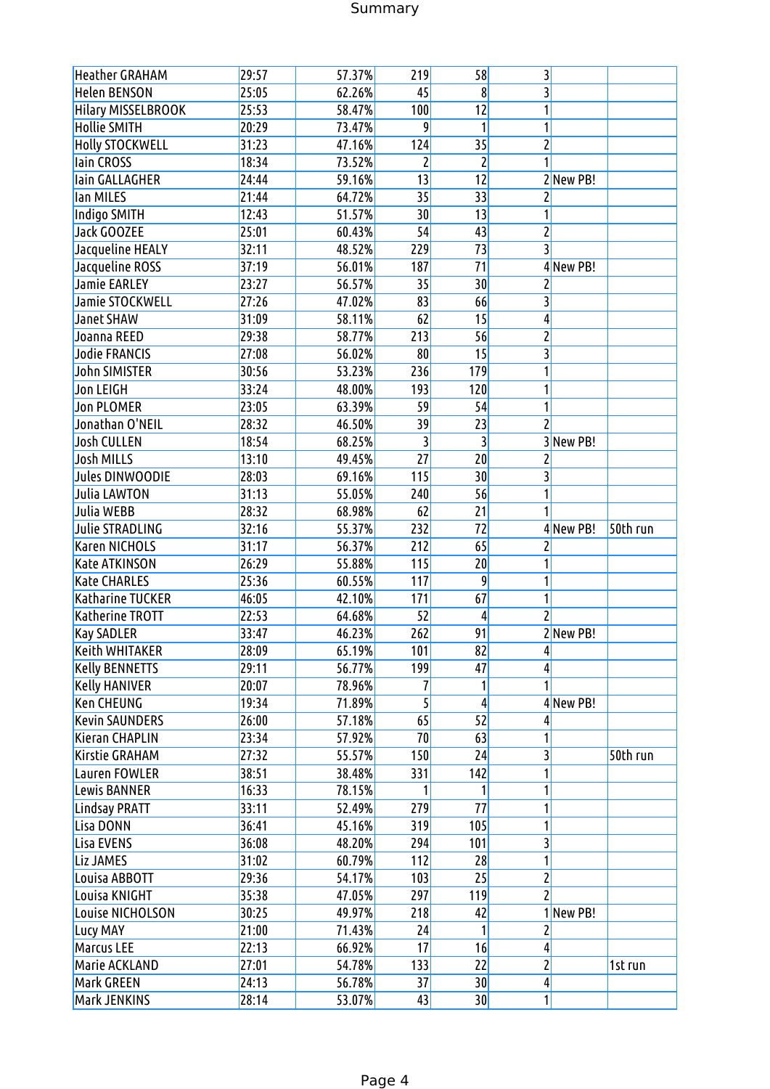# Summary

| <b>Heather GRAHAM</b>     | 29:57 | 57.37%           | 219             | 58              | 3                       |          |
|---------------------------|-------|------------------|-----------------|-----------------|-------------------------|----------|
| <b>Helen BENSON</b>       | 25:05 | 62.26%           | 45              | 8               | 3                       |          |
| <b>Hilary MISSELBROOK</b> | 25:53 | 58.47%           | 100             | 12              | 1                       |          |
| <b>Hollie SMITH</b>       | 20:29 | 73.47%           | 9               | 1               | 1                       |          |
| <b>Holly STOCKWELL</b>    | 31:23 | 47.16%           | 124             | 35              | $\overline{\mathbf{c}}$ |          |
| lain CROSS                | 18:34 | 73.52%           | $\overline{2}$  | 2               | 1                       |          |
| lain GALLAGHER            | 24:44 | 59.16%           | 13              | 12              | 2New PB!                |          |
| lan MILES                 | 21:44 | 64.72%           | 35              | 33              | 2                       |          |
| Indigo SMITH              | 12:43 | 51.57%           | 30              | 13              | 1                       |          |
| <b>Jack GOOZEE</b>        | 25:01 | 60.43%           | 54              | 43              | 2                       |          |
| Jacqueline HEALY          | 32:11 | 48.52%           | 229             | $\overline{73}$ | 3                       |          |
| Jacqueline ROSS           | 37:19 | 56.01%           | 187             | 71              | 4 New PB!               |          |
| <b>Jamie EARLEY</b>       | 23:27 | 56.57%           | 35              | 30              | $\overline{c}$          |          |
| Jamie STOCKWELL           | 27:26 | 47.02%           | 83              | 66              | 3                       |          |
| <b>Janet SHAW</b>         | 31:09 | 58.11%           | 62              | 15              | 4                       |          |
| Joanna REED               | 29:38 | 58.77%           | 213             | 56              | 2                       |          |
| <b>Jodie FRANCIS</b>      | 27:08 | 56.02%           | 80              | 15              | 3                       |          |
| <b>John SIMISTER</b>      | 30:56 | 53.23%           | 236             | 179             | 1                       |          |
| <b>Jon LEIGH</b>          | 33:24 | 48.00%           | 193             | 120             | 1                       |          |
| <b>Jon PLOMER</b>         | 23:05 | 63.39%           | 59              | 54              | 1                       |          |
| Jonathan O'NEIL           | 28:32 | 46.50%           | 39              | 23              | $\overline{c}$          |          |
| <b>Josh CULLEN</b>        | 18:54 | 68.25%           | $\overline{3}$  | 3               | 3 New PB!               |          |
| <b>Josh MILLS</b>         | 13:10 | 49.45%           | $\overline{27}$ | 20              | 2                       |          |
| Jules DINWOODIE           | 28:03 | 69.16%           | 115             | 30              | 3                       |          |
| <b>Julia LAWTON</b>       | 31:13 | 55.05%           | 240             | 56              | 1                       |          |
| Julia WEBB                | 28:32 | 68.98%           | 62              | 21              |                         |          |
| <b>Julie STRADLING</b>    | 32:16 | 55.37%           | 232             | 72              | 4 New PB!               | 50th run |
| Karen NICHOLS             | 31:17 | 56.37%           | 212             | 65              | 2                       |          |
| <b>Kate ATKINSON</b>      | 26:29 | 55.88%           | 115             | 20              | 1                       |          |
| <b>Kate CHARLES</b>       | 25:36 | 60.55%           | 117             | 9               | 1                       |          |
| <b>Katharine TUCKER</b>   | 46:05 | 42.10%           | 171             | 67              | 1                       |          |
| <b>Katherine TROTT</b>    | 22:53 | 64.68%           | 52              | 4               | $\overline{c}$          |          |
| <b>Kay SADLER</b>         | 33:47 | 46.23%           | 262             | 91              | 2New PB!                |          |
| <b>Keith WHITAKER</b>     | 28:09 | 65.19%           | 101             | 82              | $\frac{4}{3}$           |          |
| <b>Kelly BENNETTS</b>     | 29:11 | 56.77%           | <b>199</b>      | 47              | 4                       |          |
| <b>Kelly HANIVER</b>      | 20:07 | 78.96%           | 7               | 1               | 1                       |          |
| Ken CHEUNG                | 19:34 | 71.89%           | $\overline{5}$  | 4               | 4 New PB!               |          |
| <b>Kevin SAUNDERS</b>     | 26:00 | 57.18%           | 65              | 52              | 4                       |          |
| Kieran CHAPLIN            | 23:34 | 57.92%           | 70              | 63              | 1                       |          |
| Kirstie GRAHAM            | 27:32 | 55.57%           | 150             | 24              | 3                       | 50th run |
| Lauren FOWLER             | 38:51 | 38.48%           | 331             | 142             | 1                       |          |
| Lewis BANNER              | 16:33 | 78.15%           |                 | 1               | 1                       |          |
| <b>Lindsay PRATT</b>      | 33:11 | 52.49%           | 279             | 77              | 1                       |          |
| Lisa DONN                 | 36:41 | 45.16%           | 319             | 105             | 1                       |          |
| Lisa EVENS                | 36:08 | 48.20%           | 294             | 101             | 3                       |          |
| Liz JAMES                 | 31:02 | 60.79%           | 112             | 28              | 1                       |          |
| Louisa ABBOTT             | 29:36 |                  | 103             | 25              | $\overline{\mathbf{c}}$ |          |
| Louisa KNIGHT             | 35:38 | 54.17%<br>47.05% | 297             | 119             | $\overline{c}$          |          |
| Louise NICHOLSON          | 30:25 | 49.97%           | 218             | 42              | 1 New PB!               |          |
|                           | 21:00 | 71.43%           | 24              | 1               | $\overline{\mathbf{c}}$ |          |
| Lucy MAY                  | 22:13 |                  | 17              |                 |                         |          |
| Marcus LEE                |       | 66.92%           |                 | 16              | 4                       |          |
| Marie ACKLAND             | 27:01 | 54.78%           | 133             | 22              | $\overline{c}$          | 1st run  |
| Mark GREEN                | 24:13 | 56.78%           | 37              | 30              | $\frac{4}{3}$           |          |
| Mark JENKINS              | 28:14 | 53.07%           | 43              | 30              | 1                       |          |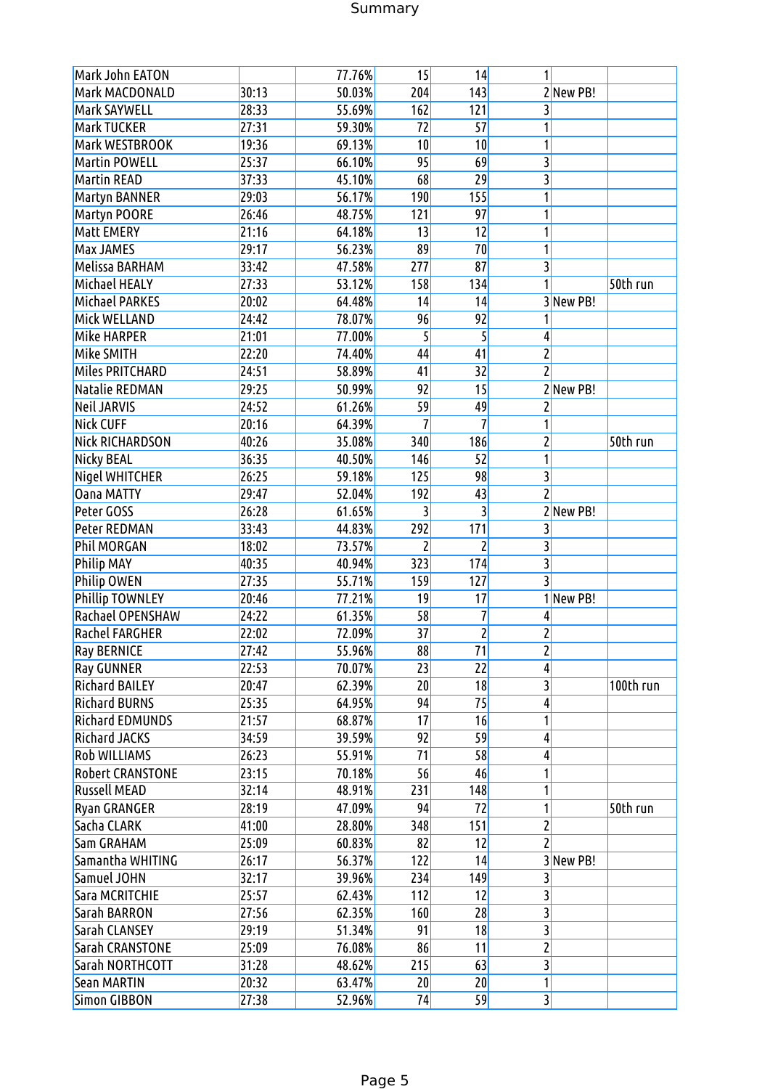# Summary

| Mark John EATON         |       | 77.76% | 15              | 14             | 1                       |           |           |
|-------------------------|-------|--------|-----------------|----------------|-------------------------|-----------|-----------|
| Mark MACDONALD          | 30:13 | 50.03% | 204             | 143            |                         | 2New PB!  |           |
| Mark SAYWELL            | 28:33 | 55.69% | 162             | 121            | 3                       |           |           |
| <b>Mark TUCKER</b>      | 27:31 | 59.30% | 72              | 57             |                         |           |           |
| Mark WESTBROOK          | 19:36 | 69.13% | 10              | 10             | 1                       |           |           |
| <b>Martin POWELL</b>    | 25:37 | 66.10% | 95              | 69             | 3                       |           |           |
| <b>Martin READ</b>      | 37:33 | 45.10% | 68              | 29             | 3                       |           |           |
| Martyn BANNER           | 29:03 | 56.17% | 190             | 155            |                         |           |           |
| Martyn POORE            | 26:46 | 48.75% | 121             | 97             | 1                       |           |           |
| Matt EMERY              | 21:16 | 64.18% | 13              | 12             |                         |           |           |
| <b>Max JAMES</b>        | 29:17 | 56.23% | 89              | 70             |                         |           |           |
| Melissa BARHAM          | 33:42 | 47.58% | 277             | 87             | 3                       |           |           |
| Michael HEALY           | 27:33 | 53.12% | 158             | 134            | 1                       |           | 50th run  |
| <b>Michael PARKES</b>   | 20:02 | 64.48% | 14              | 14             |                         | 3 New PB! |           |
|                         |       |        |                 |                |                         |           |           |
| Mick WELLAND            | 24:42 | 78.07% | 96              | 92             |                         |           |           |
| Mike HARPER             | 21:01 | 77.00% | 5               | 5              | 4                       |           |           |
| Mike SMITH              | 22:20 | 74.40% | 44              | 41             | 2                       |           |           |
| Miles PRITCHARD         | 24:51 | 58.89% | 41              | 32             | $\overline{c}$          |           |           |
| Natalie REDMAN          | 29:25 | 50.99% | 92              | 15             |                         | 2New PB!  |           |
| <b>Neil JARVIS</b>      | 24:52 | 61.26% | 59              | 49             | $\overline{c}$          |           |           |
| <b>Nick CUFF</b>        | 20:16 | 64.39% | 7               | 7              | 1                       |           |           |
| <b>Nick RICHARDSON</b>  | 40:26 | 35.08% | 340             | 186            | $\overline{\mathbf{c}}$ |           | 50th run  |
| Nicky BEAL              | 36:35 | 40.50% | 146             | 52             | 1                       |           |           |
| Nigel WHITCHER          | 26:25 | 59.18% | 125             | 98             | 3                       |           |           |
| <b>Oana MATTY</b>       | 29:47 | 52.04% | 192             | 43             | $\overline{c}$          |           |           |
| Peter GOSS              | 26:28 | 61.65% |                 | 3              |                         | 2New PB!  |           |
| Peter REDMAN            | 33:43 | 44.83% | 292             | 171            | 3                       |           |           |
| <b>Phil MORGAN</b>      | 18:02 | 73.57% | 2               | $\overline{c}$ | 3                       |           |           |
| <b>Philip MAY</b>       | 40:35 | 40.94% | 323             | 174            | 3                       |           |           |
| <b>Philip OWEN</b>      | 27:35 | 55.71% | 159             | 127            | $\overline{3}$          |           |           |
| <b>Phillip TOWNLEY</b>  | 20:46 | 77.21% | 19              | 17             |                         | 1 New PB! |           |
| <b>Rachael OPENSHAW</b> | 24:22 | 61.35% | 58              | 7              | 4                       |           |           |
| <b>Rachel FARGHER</b>   | 22:02 | 72.09% | $\overline{37}$ | $\mathsf{2}$   | 2                       |           |           |
| <b>Ray BERNICE</b>      | 27:42 | 55.96% | 88              | 71             | $\overline{2}$          |           |           |
| <b>Ray GUNNER</b>       | 22:53 | 70.07% | 23              | 22             | 4                       |           |           |
| <b>Richard BAILEY</b>   | 20:47 | 62.39% | 20              | 18             | 3                       |           | 100th run |
| <b>Richard BURNS</b>    | 25:35 | 64.95% | 94              | 75             | 4                       |           |           |
| <b>Richard EDMUNDS</b>  | 21:57 | 68.87% | 17              | 16             |                         |           |           |
| <b>Richard JACKS</b>    | 34:59 | 39.59% | 92              | 59             | 4                       |           |           |
| <b>Rob WILLIAMS</b>     | 26:23 | 55.91% | 71              | 58             | 4                       |           |           |
| <b>Robert CRANSTONE</b> | 23:15 | 70.18% | 56              | 46             |                         |           |           |
| <b>Russell MEAD</b>     | 32:14 | 48.91% | 231             | 148            | 1                       |           |           |
| <b>Ryan GRANGER</b>     | 28:19 | 47.09% | 94              | 72             | 1                       |           | 50th run  |
| Sacha CLARK             | 41:00 | 28.80% | 348             | 151            | $\overline{\mathbf{c}}$ |           |           |
| Sam GRAHAM              | 25:09 | 60.83% | 82              | 12             | 2                       |           |           |
| Samantha WHITING        | 26:17 | 56.37% | 122             | 14             |                         | 3 New PB! |           |
| Samuel JOHN             | 32:17 | 39.96% | 234             | 149            | 3                       |           |           |
| Sara MCRITCHIE          | 25:57 | 62.43% | 112             | 12             | 3                       |           |           |
| Sarah BARRON            | 27:56 | 62.35% | 160             | 28             | 3                       |           |           |
| Sarah CLANSEY           | 29:19 | 51.34% | 91              | 18             | $\overline{3}$          |           |           |
| Sarah CRANSTONE         | 25:09 | 76.08% | 86              | 11             | $\overline{\mathbf{c}}$ |           |           |
| Sarah NORTHCOTT         | 31:28 | 48.62% | 215             | 63             | 3                       |           |           |
| <b>Sean MARTIN</b>      | 20:32 | 63.47% | 20              | 20             |                         |           |           |
| Simon GIBBON            | 27:38 | 52.96% | 74              | 59             | $\overline{3}$          |           |           |
|                         |       |        |                 |                |                         |           |           |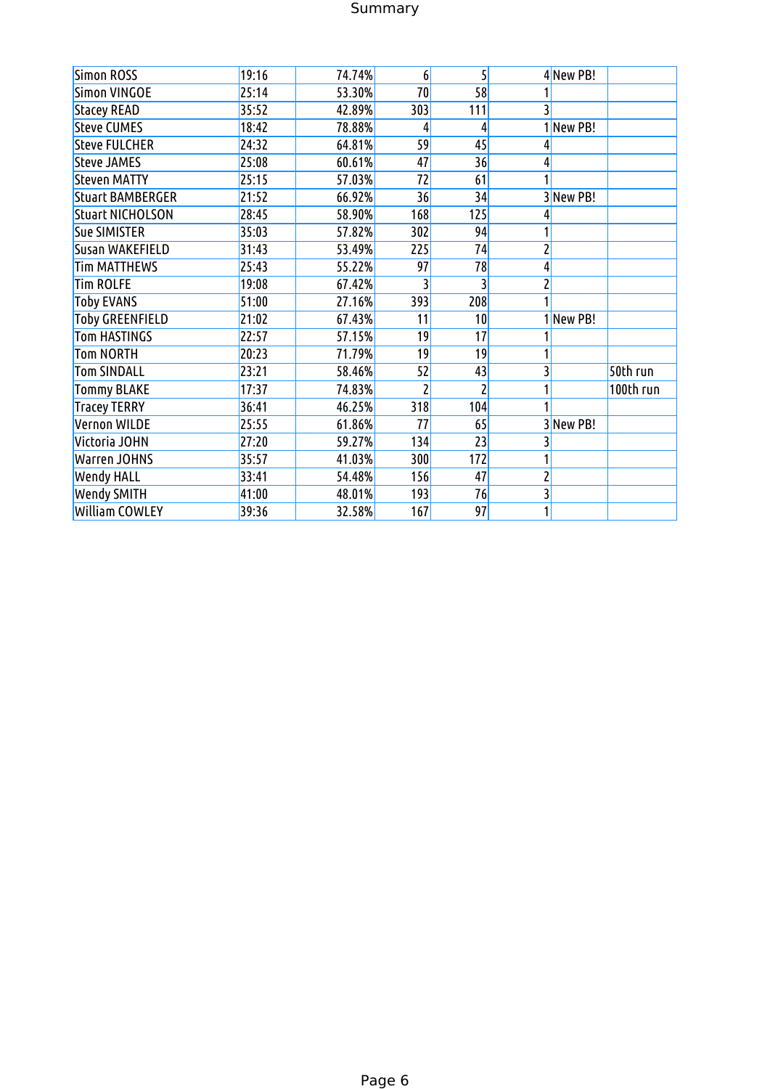# Summary

| Simon ROSS              | 19:16 | 74.74% | 6                  | $\overline{5}$ |   | 4 New PB! |           |
|-------------------------|-------|--------|--------------------|----------------|---|-----------|-----------|
| <b>Simon VINGOE</b>     | 25:14 | 53.30% | 70                 | 58             |   |           |           |
| <b>Stacey READ</b>      | 35:52 | 42.89% | 303                | 111            |   |           |           |
| <b>Steve CUMES</b>      | 18:42 | 78.88% | 4                  | 4              |   | 1 New PB! |           |
| <b>Steve FULCHER</b>    | 24:32 | 64.81% | 59                 | 45             |   |           |           |
| <b>Steve JAMES</b>      | 25:08 | 60.61% | 47                 | 36             |   |           |           |
| <b>Steven MATTY</b>     | 25:15 | 57.03% | 72                 | 61             |   |           |           |
| <b>Stuart BAMBERGER</b> | 21:52 | 66.92% | 36                 | 34             |   | 3 New PB! |           |
| <b>Stuart NICHOLSON</b> | 28:45 | 58.90% | 168                | 125            |   |           |           |
| <b>Sue SIMISTER</b>     | 35:03 | 57.82% | 302 <mark>1</mark> | 94             |   |           |           |
| Susan WAKEFIELD         | 31:43 | 53.49% | 225                | 74             |   |           |           |
| <b>Tim MATTHEWS</b>     | 25:43 | 55.22% | 97                 | 78             |   |           |           |
| <b>Tim ROLFE</b>        | 19:08 | 67.42% |                    |                |   |           |           |
| <b>Toby EVANS</b>       | 51:00 | 27.16% | 393                | 208            |   |           |           |
| <b>Toby GREENFIELD</b>  | 21:02 | 67.43% | 11                 | 10             |   | 1New PB!  |           |
| <b>Tom HASTINGS</b>     | 22:57 | 57.15% | 19                 | 17             |   |           |           |
| <b>Tom NORTH</b>        | 20:23 | 71.79% | 19                 | 19             |   |           |           |
| <b>Tom SINDALL</b>      | 23:21 | 58.46% | 52                 | 43             |   |           | 50th run  |
| <b>Tommy BLAKE</b>      | 17:37 | 74.83% |                    | 2              |   |           | 100th run |
| <b>Tracey TERRY</b>     | 36:41 | 46.25% | 318                | 104            |   |           |           |
| Vernon WILDE            | 25:55 | 61.86% | 77                 | 65             |   | 3 New PB! |           |
| Victoria JOHN           | 27:20 | 59.27% | 134                | 23             |   |           |           |
| <b>Warren JOHNS</b>     | 35:57 | 41.03% | 300 <mark>l</mark> | 172            |   |           |           |
| <b>Wendy HALL</b>       | 33:41 | 54.48% | 156                | 47             | 2 |           |           |
| Wendy SMITH             | 41:00 | 48.01% | 193                | 76             |   |           |           |
| <b>William COWLEY</b>   | 39:36 | 32.58% | 167                | 97             |   |           |           |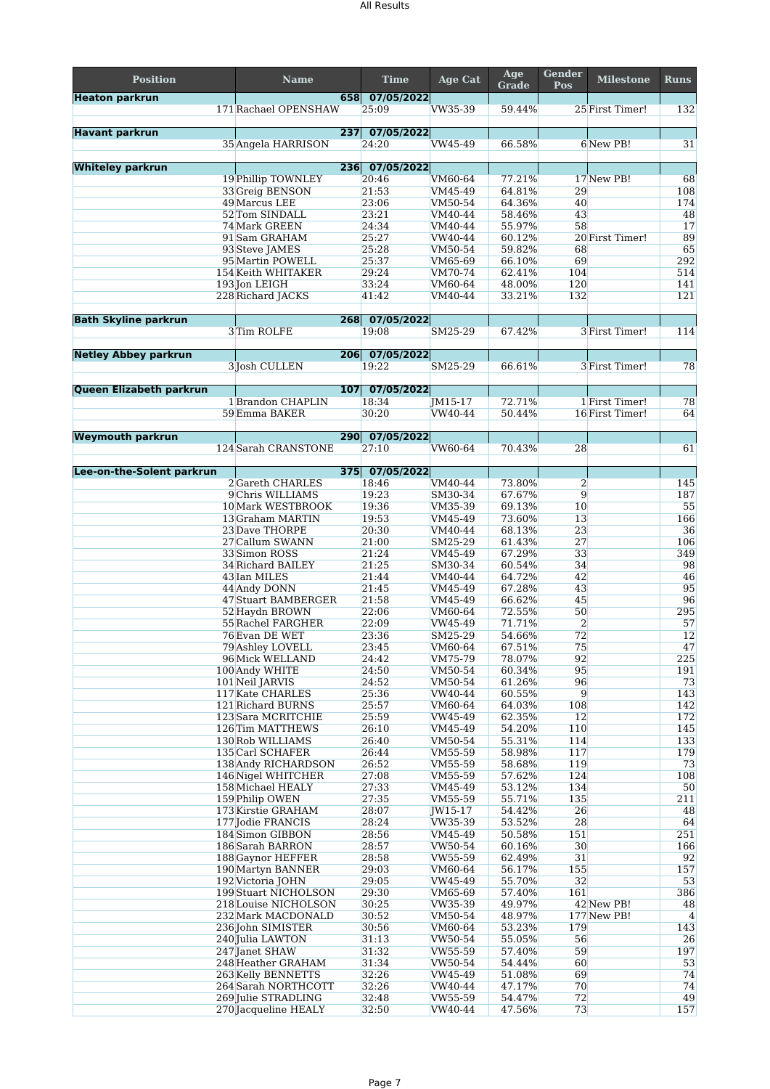| <b>Position</b>             | <b>Name</b>                               | <b>Time</b>         | Age Cat            | Age<br><b>Grade</b> | Gender<br>Pos  | <b>Milestone</b> | <b>Runs</b>           |
|-----------------------------|-------------------------------------------|---------------------|--------------------|---------------------|----------------|------------------|-----------------------|
| <b>Heaton parkrun</b>       | 658                                       | 07/05/2022          |                    |                     |                |                  |                       |
|                             | 171 Rachael OPENSHAW                      | 25:09               | VW35-39            | 59.44%              |                | 25 First Timer!  | 132                   |
| <b>Havant parkrun</b>       | 237                                       | 07/05/2022          |                    |                     |                |                  |                       |
|                             | 35 Angela HARRISON                        | 24:20               | VW45-49            | 66.58%              |                | 6 New PB!        | 31                    |
| <b>Whiteley parkrun</b>     |                                           | 236 07/05/2022      |                    |                     |                |                  |                       |
|                             | 19 Phillip TOWNLEY                        | 20:46               | VM60-64            | 77.21%              |                | 17 New PB!       | 68                    |
|                             | 33 Greig BENSON                           | 21:53               | VM45-49            | 64.81%              | 29             |                  | 108                   |
|                             | 49 Marcus LEE                             | 23:06               | VM50-54            | 64.36%              | 40             |                  | 174                   |
|                             | 52 Tom SINDALL                            | 23:21               | VM40-44            | 58.46%              | 43             |                  | 48                    |
|                             | 74 Mark GREEN<br>91 Sam GRAHAM            | 24:34<br>25:27      | VM40-44<br>VW40-44 | 55.97%<br>60.12%    | 58             | 20 First Timer!  | 17<br>89              |
|                             | 93 Steve JAMES                            | 25:28               | VM50-54            | 59.82%              | 68             |                  | 65                    |
|                             | 95 Martin POWELL                          | 25:37               | VM65-69            | 66.10%              | 69             |                  | 292                   |
|                             | 154 Keith WHITAKER                        | 29:24               | VM70-74            | 62.41%              | 104            |                  | 514                   |
|                             | 193 Jon LEIGH<br>228 Richard JACKS        | 33:24<br>41:42      | VM60-64<br>VM40-44 | 48.00%<br>33.21%    | 120<br>132     |                  | 141<br>121            |
|                             |                                           |                     |                    |                     |                |                  |                       |
| <b>Bath Skyline parkrun</b> |                                           | 268 07/05/2022      |                    |                     |                |                  |                       |
|                             | 3 Tim ROLFE                               | 19:08               | SM25-29            | 67.42%              |                | 3 First Timer!   | 114                   |
| <b>Netley Abbey parkrun</b> |                                           | 206 07/05/2022      |                    |                     |                |                  |                       |
|                             | 3 Josh CULLEN                             | 19:22               | SM25-29            | 66.61%              |                | 3 First Timer!   | 78                    |
|                             |                                           |                     |                    |                     |                |                  |                       |
| Queen Elizabeth parkrun     |                                           | 107 07/05/2022      |                    |                     |                |                  |                       |
|                             | 1 Brandon CHAPLIN                         | 18:34               | JM15-17            | 72.71%              |                | 1 First Timer!   | 78                    |
|                             | 59 Emma BAKER                             | 30:20               | VW40-44            | 50.44%              |                | 16 First Timer!  | 64                    |
| <b>Weymouth parkrun</b>     |                                           | 290 07/05/2022      |                    |                     |                |                  |                       |
|                             | 124 Sarah CRANSTONE                       | 27:10               | VW60-64            | 70.43%              | 28             |                  | 61                    |
|                             |                                           |                     |                    |                     |                |                  |                       |
| Lee-on-the-Solent parkrun   | 375<br>2 Gareth CHARLES                   | 07/05/2022<br>18:46 | VM40-44            | 73.80%              | $\overline{2}$ |                  | 145                   |
|                             | 9 Chris WILLIAMS                          | 19:23               | SM30-34            | 67.67%              | $\overline{9}$ |                  | 187                   |
|                             | 10 Mark WESTBROOK                         | 19:36               | VM35-39            | 69.13%              | 10             |                  | 55                    |
|                             | 13 Graham MARTIN                          | 19:53               | VM45-49            | 73.60%              | 13             |                  | 166                   |
|                             | 23 Dave THORPE                            | 20:30<br>21:00      | VM40-44            | 68.13%              | 23             |                  | 36                    |
|                             | 27 Callum SWANN<br>33 Simon ROSS          | 21:24               | SM25-29<br>VM45-49 | 61.43%<br>67.29%    | 27<br>33       |                  | 106<br>349            |
|                             | 34 Richard BAILEY                         | 21:25               | SM30-34            | 60.54%              | 34             |                  | 98                    |
|                             | 43 Ian MILES                              | 21:44               | VM40-44            | 64.72%              | 42             |                  | 46                    |
|                             | 44 Andy DONN                              | 21:45               | VM45-49            | 67.28%              | 43             |                  | 95                    |
|                             | 47 Stuart BAMBERGER<br>52 Haydn BROWN     | 21:58<br>22:06      | VM45-49<br>VM60-64 | 66.62%<br>72.55%    | 45<br>50       |                  | 96<br>295             |
|                             | 55 Rachel FARGHER                         | 22:09               | VW45-49            | 71.71%              | $\overline{2}$ |                  | 57                    |
|                             | 76 Evan DE WET                            | 23:36               | SM25-29            | 54.66%              | 72             |                  | 12                    |
|                             | 79 Ashley LOVELL                          | 23:45               | VM60-64            | 67.51%              | 75             |                  | 47                    |
|                             | 96 Mick WELLAND<br>100 Andy WHITE         | 24:42<br>24:50      | VM75-79<br>VM50-54 | 78.07%<br>60.34%    | 92<br>95       |                  | 225<br>191            |
|                             | 101 Neil JARVIS                           | 24:52               | VM50-54            | 61.26%              | 96             |                  | 73                    |
|                             | 117 Kate CHARLES                          | 25:36               | VW40-44            | 60.55%              | $\overline{9}$ |                  | 143                   |
|                             | 121 Richard BURNS                         | 25:57               | VM60-64            | 64.03%              | 108            |                  | 142                   |
|                             | 123 Sara MCRITCHIE                        | 25:59               | VW45-49            | 62.35%              | 12             |                  | 172                   |
|                             | 126 Tim MATTHEWS<br>130 Rob WILLIAMS      | 26:10<br>26:40      | VM45-49<br>VM50-54 | 54.20%<br>55.31%    | 110<br>114     |                  | 145<br>133            |
|                             | 135 Carl SCHAFER                          | 26:44               | VM55-59            | 58.98%              | 117            |                  | 179                   |
|                             | 138 Andy RICHARDSON                       | 26:52               | VM55-59            | 58.68%              | 119            |                  | 73                    |
|                             | 146 Nigel WHITCHER                        | 27:08               | VM55-59            | 57.62%              | 124            |                  | 108                   |
|                             | 158 Michael HEALY<br>159 Philip OWEN      | 27:33<br>27:35      | VM45-49<br>VM55-59 | 53.12%<br>55.71%    | 134<br>135     |                  | 50<br>211             |
|                             | 173 Kirstie GRAHAM                        | 28:07               | JW15-17            | 54.42%              | 26             |                  | 48                    |
|                             | 177 Jodie FRANCIS                         | 28:24               | VW35-39            | 53.52%              | 28             |                  | 64                    |
|                             | 184 Simon GIBBON                          | 28:56               | VM45-49            | 50.58%              | 151            |                  | 251                   |
|                             | 186 Sarah BARRON<br>188 Gaynor HEFFER     | 28:57<br>28:58      | VW50-54<br>VW55-59 | 60.16%<br>62.49%    | 30<br>31       |                  | 166<br>92             |
|                             | 190 Martyn BANNER                         | 29:03               | VM60-64            | 56.17%              | 155            |                  | 157                   |
|                             | 192 Victoria JOHN                         | 29:05               | VW45-49            | 55.70%              | 32             |                  | 53                    |
|                             | 199 Stuart NICHOLSON                      | 29:30               | VM65-69            | 57.40%              | 161            |                  | 386                   |
|                             | 218 Louise NICHOLSON                      | 30:25<br>30:52      | VW35-39            | 49.97%              |                | 42 New PB!       | 48                    |
|                             | 232 Mark MACDONALD<br>236 John SIMISTER   | 30:56               | VM50-54<br>VM60-64 | 48.97%<br>53.23%    | 179            | 177 New PB!      | $\overline{4}$<br>143 |
|                             | 240 Julia LAWTON                          | 31:13               | VW50-54            | 55.05%              | 56             |                  | 26                    |
|                             | 247 Janet SHAW                            | 31:32               | VW55-59            | 57.40%              | 59             |                  | 197                   |
|                             | 248 Heather GRAHAM                        | 31:34               | VW50-54            | 54.44%              | 60             |                  | 53                    |
|                             | 263 Kelly BENNETTS<br>264 Sarah NORTHCOTT | 32:26<br>32:26      | VW45-49<br>VW40-44 | 51.08%<br>47.17%    | 69<br>70       |                  | 74<br>74              |
|                             | 269 Julie STRADLING                       | 32:48               | VW55-59            | 54.47%              | 72             |                  | 49                    |
|                             | 270 Jacqueline HEALY                      | 32:50               | VW40-44            | 47.56%              | 73             |                  | 157                   |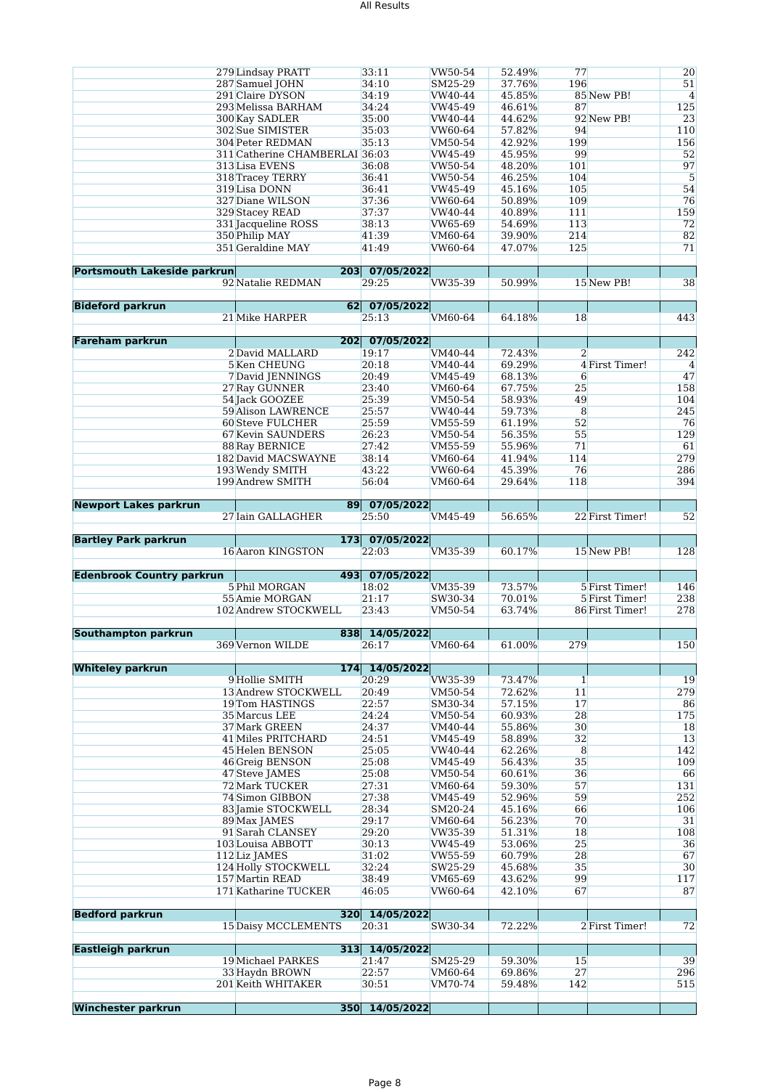|                                    | 279 Lindsay PRATT              | 33:11          | VW50-54 | 52.49% | 77             |                 | 20             |
|------------------------------------|--------------------------------|----------------|---------|--------|----------------|-----------------|----------------|
|                                    | 287 Samuel JOHN                | 34:10          | SM25-29 | 37.76% | 196            |                 | 51             |
|                                    | 291 Claire DYSON               | 34:19          | VW40-44 | 45.85% |                | 85 New PB!      | $\overline{4}$ |
|                                    | 293 Melissa BARHAM             |                |         | 46.61% |                |                 |                |
|                                    |                                | 34:24          | VW45-49 |        | 87             |                 | 125            |
|                                    | 300 Kay SADLER                 | 35:00          | VW40-44 | 44.62% |                | 92 New PB!      | 23             |
|                                    | 302 Sue SIMISTER               | 35:03          | VW60-64 | 57.82% | 94             |                 | 110            |
|                                    | <b>304 Peter REDMAN</b>        | 35:13          | VM50-54 | 42.92% | 199            |                 | 156            |
|                                    | 311 Catherine CHAMBERLAI 36:03 |                | VW45-49 | 45.95% | 99             |                 | 52             |
|                                    |                                |                |         |        |                |                 |                |
|                                    | 313 Lisa EVENS                 | 36:08          | VW50-54 | 48.20% | 101            |                 | 97             |
|                                    | 318 Tracey TERRY               | 36:41          | VW50-54 | 46.25% | 104            |                 | 5              |
|                                    | 319 Lisa DONN                  | 36:41          | VW45-49 | 45.16% | 105            |                 | 54             |
|                                    | 327 Diane WILSON               | 37:36          | VW60-64 | 50.89% | 109            |                 | 76             |
|                                    | 329 Stacey READ                | 37:37          | VW40-44 | 40.89% | 111            |                 | 159            |
|                                    |                                |                |         |        |                |                 |                |
|                                    | 331 Jacqueline ROSS            | 38:13          | VW65-69 | 54.69% | 113            |                 | 72             |
|                                    | 350 Philip MAY                 | 41:39          | VM60-64 | 39.90% | 214            |                 | 82             |
|                                    | 351 Geraldine MAY              | 41:49          | VW60-64 | 47.07% | 125            |                 | 71             |
|                                    |                                |                |         |        |                |                 |                |
| <b>Portsmouth Lakeside parkrun</b> |                                | 203 07/05/2022 |         |        |                |                 |                |
|                                    | 92 Natalie REDMAN              | 29:25          | VW35-39 | 50.99% |                | 15 New PB!      | 38             |
|                                    |                                |                |         |        |                |                 |                |
|                                    |                                |                |         |        |                |                 |                |
| <b>Bideford parkrun</b>            |                                | 62 07/05/2022  |         |        |                |                 |                |
|                                    | 21 Mike HARPER                 | 25:13          | VM60-64 | 64.18% | 18             |                 | 443            |
|                                    |                                |                |         |        |                |                 |                |
| <b>Fareham parkrun</b>             | 202                            | 07/05/2022     |         |        |                |                 |                |
|                                    |                                |                | VM40-44 |        |                |                 | 242            |
|                                    | 2 David MALLARD                | 19:17          |         | 72.43% | $\overline{2}$ |                 |                |
|                                    | 5 Ken CHEUNG                   | 20:18          | VM40-44 | 69.29% |                | 4 First Timer!  | $\overline{4}$ |
|                                    | 7 David JENNINGS               | 20:49          | VM45-49 | 68.13% | 6              |                 | 47             |
|                                    | 27 Ray GUNNER                  | 23:40          | VM60-64 | 67.75% | 25             |                 | 158            |
|                                    | 54 Jack GOOZEE                 | 25:39          | VM50-54 | 58.93% | 49             |                 | 104            |
|                                    | <b>59 Alison LAWRENCE</b>      |                | VW40-44 | 59.73% | $\overline{8}$ |                 |                |
|                                    |                                | 25:57          |         |        |                |                 | 245            |
|                                    | <b>60 Steve FULCHER</b>        | 25:59          | VM55-59 | 61.19% | 52             |                 | 76             |
|                                    | 67 Kevin SAUNDERS              | 26:23          | VM50-54 | 56.35% | 55             |                 | 129            |
|                                    | <b>88 Ray BERNICE</b>          | 27:42          | VM55-59 | 55.96% | 71             |                 | 61             |
|                                    | 182 David MACSWAYNE            | 38:14          | VM60-64 | 41.94% | 114            |                 | 279            |
|                                    | 193 Wendy SMITH                | 43:22          | VW60-64 | 45.39% | 76             |                 | 286            |
|                                    |                                |                |         |        |                |                 |                |
|                                    | 199 Andrew SMITH               | 56:04          | VM60-64 | 29.64% | 118            |                 | 394            |
|                                    |                                |                |         |        |                |                 |                |
| <b>Newport Lakes parkrun</b>       | 89                             | 07/05/2022     |         |        |                |                 |                |
|                                    | 27 Iain GALLAGHER              | 25:50          | VM45-49 | 56.65% |                | 22 First Timer! | 52             |
|                                    |                                |                |         |        |                |                 |                |
|                                    |                                |                |         |        |                |                 |                |
|                                    |                                |                |         |        |                |                 |                |
| <b>Bartley Park parkrun</b>        | 173                            | 07/05/2022     |         |        |                |                 |                |
|                                    | 16 Aaron KINGSTON              | 22:03          | VM35-39 | 60.17% |                | 15 New PB!      | 128            |
|                                    |                                |                |         |        |                |                 |                |
| <b>Edenbrook Country parkrun</b>   | 493                            | 07/05/2022     |         |        |                |                 |                |
|                                    |                                |                |         |        |                |                 |                |
|                                    | 5 Phil MORGAN                  | 18:02          | VM35-39 | 73.57% |                | 5 First Timer!  | 146            |
|                                    | 55 Amie MORGAN                 | 21:17          | SW30-34 | 70.01% |                | 5 First Timer!  | 238            |
|                                    | 102 Andrew STOCKWELL           | 23:43          | VM50-54 | 63.74% |                | 86 First Timer! | 278            |
|                                    |                                |                |         |        |                |                 |                |
| <b>Southampton parkrun</b>         |                                | 838 14/05/2022 |         |        |                |                 |                |
|                                    | 369 Vernon WILDE               | 26:17          | VM60-64 | 61.00% | 279            |                 | 150            |
|                                    |                                |                |         |        |                |                 |                |
|                                    |                                |                |         |        |                |                 |                |
| <b>Whiteley parkrun</b>            |                                | 174 14/05/2022 |         |        |                |                 |                |
|                                    | 9 Hollie SMITH                 | 20:29          | VW35-39 | 73.47% | $\mathbf{1}$   |                 | 19             |
|                                    | 13 Andrew STOCKWELL            | 20:49          | VM50-54 | 72.62% | 11             |                 | 279            |
|                                    | 19Tom HASTINGS                 | 22:57          | SM30-34 | 57.15% | 17             |                 | 86             |
|                                    | 35 Marcus LEE                  | 24:24          | VM50-54 | 60.93% | 28             |                 | 175            |
|                                    | 37 Mark GREEN                  | 24:37          | VM40-44 | 55.86% | 30             |                 | 18             |
|                                    |                                |                |         |        |                |                 |                |
|                                    | 41 Miles PRITCHARD             | 24:51          | VM45-49 | 58.89% | 32             |                 | 13             |
|                                    | 45 Helen BENSON                | 25:05          | VW40-44 | 62.26% | 8              |                 | 142            |
|                                    | 46 Greig BENSON                | 25:08          | VM45-49 | 56.43% | 35             |                 | 109            |
|                                    | 47 Steve JAMES                 | 25:08          | VM50-54 | 60.61% | 36             |                 | 66             |
|                                    | 72 Mark TUCKER                 | 27:31          | VM60-64 | 59.30% | 57             |                 | 131            |
|                                    |                                |                | VM45-49 |        |                |                 |                |
|                                    | 74 Simon GIBBON                | 27:38          |         | 52.96% | 59             |                 | 252            |
|                                    | 83 Jamie STOCKWELL             | 28:34          | SM20-24 | 45.16% | 66             |                 | 106            |
|                                    | 89 Max JAMES                   | 29:17          | VM60-64 | 56.23% | 70             |                 | 31             |
|                                    | 91 Sarah CLANSEY               | 29:20          | VW35-39 | 51.31% | 18             |                 | 108            |
|                                    | 103 Louisa ABBOTT              | 30:13          | VW45-49 | 53.06% | 25             |                 | 36             |
|                                    | 112 Liz JAMES                  | 31:02          | VW55-59 | 60.79% | 28             |                 | 67             |
|                                    | 124 Holly STOCKWELL            | 32:24          | SW25-29 | 45.68% | 35             |                 | 30             |
|                                    |                                |                |         |        |                |                 |                |
|                                    | 157 Martin READ                | 38:49          | VM65-69 | 43.62% | 99             |                 | 117            |
|                                    | 171 Katharine TUCKER           | 46:05          | VW60-64 | 42.10% | 67             |                 | 87             |
|                                    |                                |                |         |        |                |                 |                |
| <b>Bedford parkrun</b>             |                                | 320 14/05/2022 |         |        |                |                 |                |
|                                    | <b>15 Daisy MCCLEMENTS</b>     | 20:31          | SW30-34 | 72.22% |                | 2 First Timer!  | 72             |
|                                    |                                |                |         |        |                |                 |                |
| <b>Eastleigh parkrun</b>           |                                | 313 14/05/2022 |         |        |                |                 |                |
|                                    |                                |                |         |        |                |                 |                |
|                                    | <b>19 Michael PARKES</b>       | 21:47          | SM25-29 | 59.30% | 15             |                 | 39             |
|                                    | 33 Haydn BROWN                 | 22:57          | VM60-64 | 69.86% | 27             |                 | 296            |
|                                    | 201 Keith WHITAKER             | 30:51          | VM70-74 | 59.48% | 142            |                 | 515            |
| <b>Winchester parkrun</b>          | 350                            | 14/05/2022     |         |        |                |                 |                |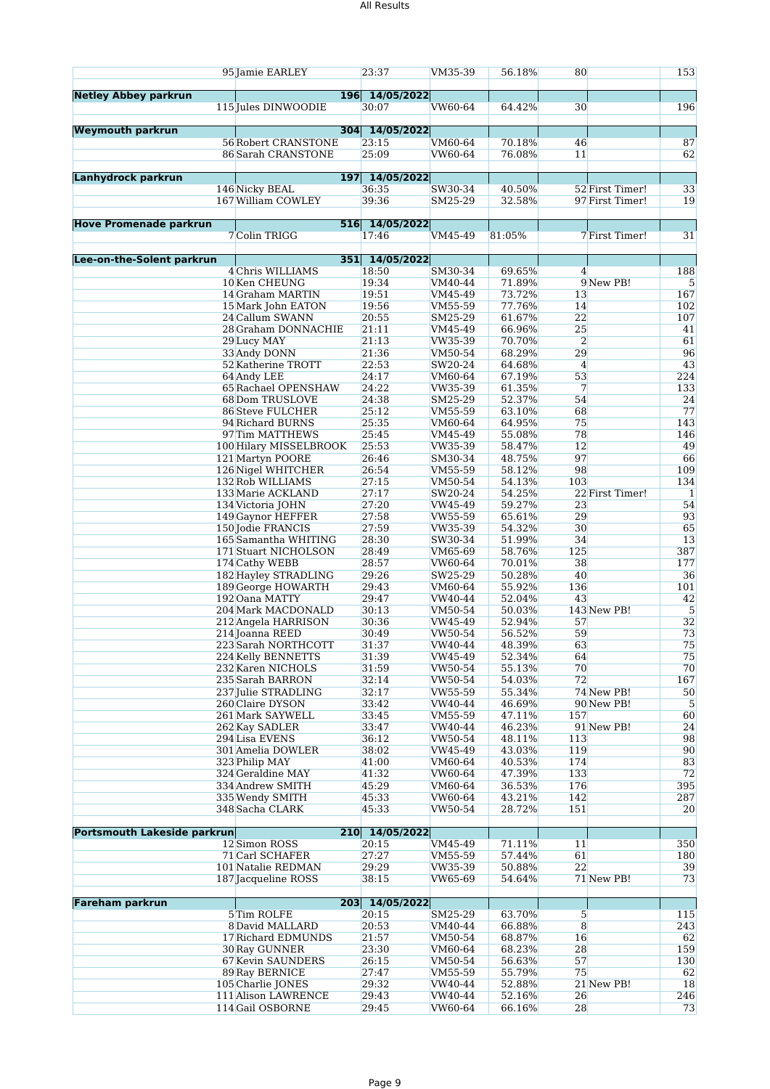### All Results

|                                    | 95 Jamie EARLEY                                   | 23:37                   | VM35-39            | 56.18%           | 80                   |                          | 153              |
|------------------------------------|---------------------------------------------------|-------------------------|--------------------|------------------|----------------------|--------------------------|------------------|
| <b>Netley Abbey parkrun</b>        |                                                   | 196 14/05/2022          |                    |                  |                      |                          |                  |
|                                    | 115 Jules DINWOODIE                               | 30:07                   | <b>VW60-64</b>     | 64.42%           | 30                   |                          | 196              |
| <b>Weymouth parkrun</b>            |                                                   | 304 14/05/2022          |                    |                  |                      |                          |                  |
|                                    | <b>56 Robert CRANSTONE</b>                        | 23:15                   | VM60-64            | 70.18%           | 46                   |                          | 87               |
|                                    | 86 Sarah CRANSTONE                                | 25:09                   | VW60-64            | 76.08%           | 11                   |                          | 62               |
|                                    |                                                   |                         |                    |                  |                      |                          |                  |
| Lanhydrock parkrun                 | 146 Nicky BEAL                                    | 197 14/05/2022<br>36:35 | SW30-34            | 40.50%           |                      | 52 First Timer!          | 33               |
|                                    | 167 William COWLEY                                | 39:36                   | SM25-29            | 32.58%           |                      | 97 First Timer!          | 19               |
|                                    |                                                   |                         |                    |                  |                      |                          |                  |
| <b>Hove Promenade parkrun</b>      | 7 Colin TRIGG                                     | 516 14/05/2022<br>17:46 | VM45-49            | 81:05%           |                      | 7 First Timer!           | 31               |
|                                    |                                                   |                         |                    |                  |                      |                          |                  |
| Lee-on-the-Solent parkrun          |                                                   | 351 14/05/2022          |                    |                  |                      |                          |                  |
|                                    | 4 Chris WILLIAMS<br>10 Ken CHEUNG                 | 18:50<br>19:34          | SM30-34<br>VM40-44 | 69.65%<br>71.89% | $\overline{4}$       | 9 New PB!                | 188<br>5         |
|                                    | 14 Graham MARTIN                                  | 19:51                   | VM45-49            | 73.72%           | 13                   |                          | 167              |
|                                    | 15 Mark John EATON                                | 19:56                   | VM55-59            | 77.76%           | 14                   |                          | 102              |
|                                    | 24 Callum SWANN                                   | 20:55                   | SM25-29            | 61.67%           | 22                   |                          | 107              |
|                                    | 28 Graham DONNACHIE<br>29 Lucy MAY                | 21:11<br>21:13          | VM45-49<br>VW35-39 | 66.96%<br>70.70% | 25<br>$\overline{2}$ |                          | 41<br>61         |
|                                    | 33 Andy DONN                                      | 21:36                   | VM50-54            | 68.29%           | 29                   |                          | 96               |
|                                    | 52 Katherine TROTT                                | 22:53                   | SW20-24            | 64.68%           | $\overline{4}$       |                          | 43               |
|                                    | 64 Andy LEE                                       | 24:17                   | VM60-64            | 67.19%           | 53                   |                          | 224              |
|                                    | 65 Rachael OPENSHAW<br>68 Dom TRUSLOVE            | 24:22                   | VW35-39            | 61.35%<br>52.37% | 7<br>54              |                          | 133<br>24        |
|                                    | 86 Steve FULCHER                                  | 24:38<br>25:12          | SM25-29<br>VM55-59 | 63.10%           | 68                   |                          | 77               |
|                                    | 94 Richard BURNS                                  | 25:35                   | VM60-64            | 64.95%           | 75                   |                          | 143              |
|                                    | 97 Tim MATTHEWS                                   | 25:45                   | VM45-49            | 55.08%           | 78                   |                          | 146              |
|                                    | 100 Hilary MISSELBROOK                            | 25:53                   | VW35-39            | 58.47%           | 12<br>97             |                          | 49<br>66         |
|                                    | 121 Martyn POORE<br>126 Nigel WHITCHER            | 26:46<br>26:54          | SM30-34<br>VM55-59 | 48.75%<br>58.12% | 98                   |                          | 109              |
|                                    | 132 Rob WILLIAMS                                  | 27:15                   | VM50-54            | 54.13%           | 103                  |                          | 134              |
|                                    | 133 Marie ACKLAND                                 | 27:17                   | SW20-24            | 54.25%           |                      | 22 First Timer!          | $\mathbf{1}$     |
|                                    | 134 Victoria JOHN                                 | 27:20                   | VW45-49            | 59.27%           | 23                   |                          | 54               |
|                                    | 149 Gaynor HEFFER<br>150 Jodie FRANCIS            | 27:58<br>27:59          | VW55-59<br>VW35-39 | 65.61%<br>54.32% | 29<br>30             |                          | 93<br>65         |
|                                    | 165 Samantha WHITING                              | 28:30                   | SW30-34            | 51.99%           | 34                   |                          | 13               |
|                                    | 171 Stuart NICHOLSON                              | 28:49                   | VM65-69            | 58.76%           | 125                  |                          | 387              |
|                                    | 174 Cathy WEBB<br><b>182 Hayley STRADLING</b>     | 28:57                   | <b>VW60-64</b>     | 70.01%           | 38<br>40             |                          | 177              |
|                                    | 189 George HOWARTH                                | 29:26<br>29:43          | SW25-29<br>VM60-64 | 50.28%<br>55.92% | 136                  |                          | 36<br>101        |
|                                    | 192 Oana MATTY                                    | 29:47                   | VW40-44            | 52.04%           | 43                   |                          | 42               |
|                                    | 204 Mark MACDONALD                                | 30:13                   | VM50-54            | 50.03%           |                      | 143 New PB!              | 5                |
|                                    | 212 Angela HARRISON                               | 30:36<br>30:49          | VW45-49            | 52.94%<br>56.52% | 57<br>59             |                          | 32<br>73         |
|                                    | 214 Joanna REED<br>223 Sarah NORTHCOTT            | 31:37                   | VW50-54<br>VW40-44 | 48.39%           | 63                   |                          | 75               |
|                                    | 224 Kelly BENNETTS                                | 31:39                   | VW45-49            | 52.34%           | 64                   |                          | 75               |
|                                    | 232 Karen NICHOLS                                 | 31:59                   | VW50-54            | 55.13%           | 70                   |                          | 70               |
|                                    | 235 Sarah BARRON                                  | 32:14                   | VW50-54            | 54.03%           | 72                   |                          | 167              |
|                                    | 237 Julie STRADLING<br>260 Claire DYSON           | 32:17<br>33:42          | VW55-59<br>VW40-44 | 55.34%<br>46.69% |                      | 74 New PB!<br>90 New PB! | 50<br>$\sqrt{5}$ |
|                                    | 261 Mark SAYWELL                                  | 33:45                   | VM55-59            | 47.11%           | 157                  |                          | 60               |
|                                    | 262 Kay SADLER                                    | 33:47                   | VW40-44            | 46.23%           |                      | 91 New PB!               | 24               |
|                                    | 294 Lisa EVENS<br>301 Amelia DOWLER               | 36:12<br>38:02          | VW50-54            | 48.11%           | 113<br>119           |                          | 98<br>90         |
|                                    | 323 Philip MAY                                    | 41:00                   | VW45-49<br>VM60-64 | 43.03%<br>40.53% | 174                  |                          | 83               |
|                                    | 324 Geraldine MAY                                 | 41:32                   | VW60-64            | 47.39%           | 133                  |                          | 72               |
|                                    | 334 Andrew SMITH                                  | 45:29                   | VM60-64            | 36.53%           | 176                  |                          | 395              |
|                                    | 335 Wendy SMITH<br>348 Sacha CLARK                | 45:33<br>45:33          | VW60-64<br>VW50-54 | 43.21%<br>28.72% | 142<br>151           |                          | 287<br>20        |
|                                    |                                                   |                         |                    |                  |                      |                          |                  |
| <b>Portsmouth Lakeside parkrun</b> |                                                   | 210 14/05/2022          |                    |                  |                      |                          |                  |
|                                    | 12 Simon ROSS                                     | 20:15                   | VM45-49            | 71.11%           | 11                   |                          | 350              |
|                                    | 71 Carl SCHAFER<br>101 Natalie REDMAN             | 27:27<br>29:29          | VM55-59<br>VW35-39 | 57.44%<br>50.88% | 61<br>22             |                          | 180<br>39        |
|                                    | 187 Jacqueline ROSS                               | 38:15                   | VW65-69            | 54.64%           |                      | 71 New PB!               | 73               |
|                                    |                                                   |                         |                    |                  |                      |                          |                  |
| <b>Fareham parkrun</b>             |                                                   | 203 14/05/2022          |                    |                  |                      |                          |                  |
|                                    | 5 Tim ROLFE<br>8 David MALLARD                    | 20:15<br>20:53          | SM25-29<br>VM40-44 | 63.70%<br>66.88% | $5\overline{)}$<br>8 |                          | 115<br>243       |
|                                    | 17 Richard EDMUNDS                                | 21:57                   | VM50-54            | 68.87%           | 16                   |                          | 62               |
|                                    | <b>30 Ray GUNNER</b>                              | 23:30                   | VM60-64            | 68.23%           | 28                   |                          | 159              |
|                                    | <b>67 Kevin SAUNDERS</b><br><b>89 Ray BERNICE</b> | 26:15<br>27:47          | VM50-54<br>VM55-59 | 56.63%<br>55.79% | 57<br>75             |                          | 130<br>62        |
|                                    | 105 Charlie JONES                                 | 29:32                   | VW40-44            | 52.88%           |                      | 21 New PB!               | 18               |
|                                    | 111 Alison LAWRENCE                               | 29:43                   | VW40-44            | 52.16%           | 26                   |                          | 246              |
|                                    | 114 Gail OSBORNE                                  | 29:45                   | VW60-64            | 66.16%           | 28                   |                          | 73               |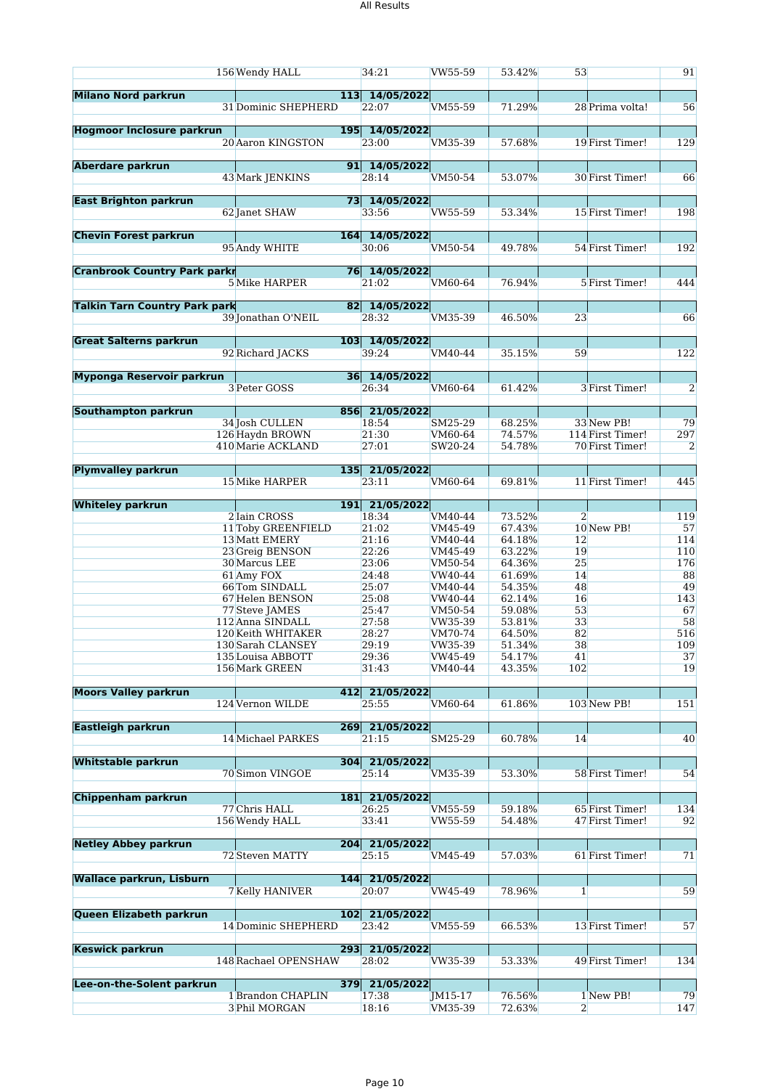|                                      | 156 Wendy HALL                                         | 34:21                                     | VW55-59                       | 53.42%                     | 53             |                                                   | 91             |
|--------------------------------------|--------------------------------------------------------|-------------------------------------------|-------------------------------|----------------------------|----------------|---------------------------------------------------|----------------|
| <b>Milano Nord parkrun</b>           | 31 Dominic SHEPHERD                                    | 113 14/05/2022<br>22:07                   | VM55-59                       | 71.29%                     |                | 28 Prima volta!                                   | 56             |
| <b>Hogmoor Inclosure parkrun</b>     | 20 Aaron KINGSTON                                      | 195 14/05/2022<br>23:00                   | VM35-39                       | 57.68%                     |                | 19 First Timer!                                   | 129            |
| <b>Aberdare parkrun</b>              | 43 Mark JENKINS                                        | 91 14/05/2022<br>28:14                    | VM50-54                       | 53.07%                     |                | 30 First Timer!                                   | 66             |
| <b>East Brighton parkrun</b>         | 62 Janet SHAW                                          | 73 14/05/2022<br>33:56                    | VW55-59                       | 53.34%                     |                | 15 First Timer!                                   | 198            |
| <b>Chevin Forest parkrun</b>         | 95 Andy WHITE                                          | 164 14/05/2022<br>30:06                   | VM50-54                       | 49.78%                     |                | 54 First Timer!                                   | 192            |
| <b>Cranbrook Country Park parkr</b>  | 5 Mike HARPER                                          | 76 14/05/2022<br>21:02                    | VM60-64                       | 76.94%                     |                | 5 First Timer!                                    | 444            |
| <b>Talkin Tarn Country Park park</b> | 39 Jonathan O'NEIL                                     | 82 14/05/2022<br>28:32                    | VM35-39                       | 46.50%                     | 23             |                                                   | 66             |
| <b>Great Salterns parkrun</b>        | 92 Richard JACKS                                       | 103 14/05/2022<br>39:24                   | VM40-44                       | 35.15%                     | 59             |                                                   | 122            |
| Myponga Reservoir parkrun            | 3 Peter GOSS                                           | 36 14/05/2022<br>26:34                    | VM60-64                       | 61.42%                     |                | 3 First Timer!                                    | 2              |
|                                      |                                                        |                                           |                               |                            |                |                                                   |                |
| Southampton parkrun                  | 34 Josh CULLEN<br>126 Haydn BROWN<br>410 Marie ACKLAND | 856 21/05/2022<br>18:54<br>21:30<br>27:01 | SM25-29<br>VM60-64<br>SW20-24 | 68.25%<br>74.57%<br>54.78% |                | 33 New PB!<br>114 First Timer!<br>70 First Timer! | 79<br>297<br>2 |
|                                      |                                                        |                                           |                               |                            |                |                                                   |                |
| <b>Plymvalley parkrun</b>            | 15 Mike HARPER                                         | 135 21/05/2022<br>23:11                   | VM60-64                       | 69.81%                     |                | 11 First Timer!                                   | 445            |
| <b>Whiteley parkrun</b>              |                                                        | 191 21/05/2022                            |                               |                            |                |                                                   |                |
|                                      | 2 Iain CROSS                                           | 18:34                                     | VM40-44                       | 73.52%                     | $\overline{2}$ |                                                   | 119            |
|                                      | 11 Toby GREENFIELD<br>13 Matt EMERY                    | 21:02<br>21:16                            | VM45-49<br>VM40-44            | 67.43%<br>64.18%           | 12             | 10 New PB!                                        | 57<br>114      |
|                                      | 23 Greig BENSON                                        | 22:26                                     | VM45-49                       | 63.22%                     | 19             |                                                   | 110            |
|                                      | 30 Marcus LEE                                          | 23:06                                     | VM50-54                       | 64.36%                     | 25             |                                                   | 176            |
|                                      | 61 Amy FOX                                             | 24:48                                     | VW40-44                       | 61.69%                     | 14             |                                                   | 88             |
|                                      | 66Tom SINDALL                                          | 25:07                                     | VM40-44                       | 54.35%                     | 48             |                                                   | 49             |
|                                      | 67 Helen BENSON                                        | 25:08                                     | VW40-44                       | 62.14%                     | 16             |                                                   | 143            |
|                                      | 77 Steve JAMES                                         | 25:47                                     | VM50-54                       | 59.08%                     | 53             |                                                   | 67             |
|                                      | 112 Anna SINDALL                                       | 27:58                                     | VW35-39                       | 53.81%                     | 33             |                                                   | 58             |
|                                      | 120 Keith WHITAKER<br>130 Sarah CLANSEY                | 28:27<br>29:19                            | VM70-74<br>VW35-39            | 64.50%<br>51.34%           | 82<br>38       |                                                   | 516<br>109     |
|                                      | 135 Louisa ABBOTT                                      | 29:36                                     | VW45-49                       | 54.17%                     | 41             |                                                   | 37             |
|                                      | 156 Mark GREEN                                         | 31:43                                     | VM40-44                       | 43.35%                     | 102            |                                                   | 19             |
|                                      |                                                        |                                           |                               |                            |                |                                                   |                |
| <b>Moors Valley parkrun</b>          | 124 Vernon WILDE                                       | 412 21/05/2022<br>25:55                   | VM60-64                       | 61.86%                     |                | 103 New PB!                                       | 151            |
| <b>Eastleigh parkrun</b>             |                                                        | 269 21/05/2022                            |                               |                            |                |                                                   |                |
|                                      | 14 Michael PARKES                                      | 21:15                                     | SM25-29                       | 60.78%                     | 14             |                                                   | 40             |
| <b>Whitstable parkrun</b>            | 70 Simon VINGOE                                        | 304 21/05/2022<br>25:14                   | VM35-39                       | 53.30%                     |                | 58 First Timer!                                   | 54             |
| Chippenham parkrun                   |                                                        | 181 21/05/2022                            |                               |                            |                |                                                   |                |
|                                      | 77 Chris HALL                                          | 26:25                                     | VM55-59                       | 59.18%                     |                | 65 First Timer!                                   | 134            |
|                                      | 156 Wendy HALL                                         | 33:41                                     | VW55-59                       | 54.48%                     |                | 47 First Timer!                                   | 92             |
| <b>Netley Abbey parkrun</b>          |                                                        | 204 21/05/2022                            |                               |                            |                |                                                   |                |
|                                      | 72 Steven MATTY                                        | 25:15                                     | VM45-49                       | 57.03%                     |                | 61 First Timer!                                   | 71             |
| <b>Wallace parkrun, Lisburn</b>      | 7 Kelly HANIVER                                        | 144 21/05/2022<br>20:07                   | VW45-49                       | 78.96%                     | $1\vert$       |                                                   | 59             |
| <b>Queen Elizabeth parkrun</b>       | 14 Dominic SHEPHERD                                    | 102 21/05/2022<br>23:42                   | VM55-59                       | 66.53%                     |                | 13 First Timer!                                   | 57             |
| <b>Keswick parkrun</b>               | 148 Rachael OPENSHAW                                   | 293 21/05/2022<br>28:02                   | VW35-39                       | 53.33%                     |                | 49 First Timer!                                   | 134            |
|                                      |                                                        |                                           |                               |                            |                |                                                   |                |
| Lee-on-the-Solent parkrun            | 1 Brandon CHAPLIN                                      | 379 21/05/2022<br>17:38                   | JM15-17                       | 76.56%                     |                | 1 New PB!                                         | 79             |
|                                      | 3 Phil MORGAN                                          | 18:16                                     | VM35-39                       | 72.63%                     | $\overline{2}$ |                                                   | 147            |
|                                      |                                                        |                                           |                               |                            |                |                                                   |                |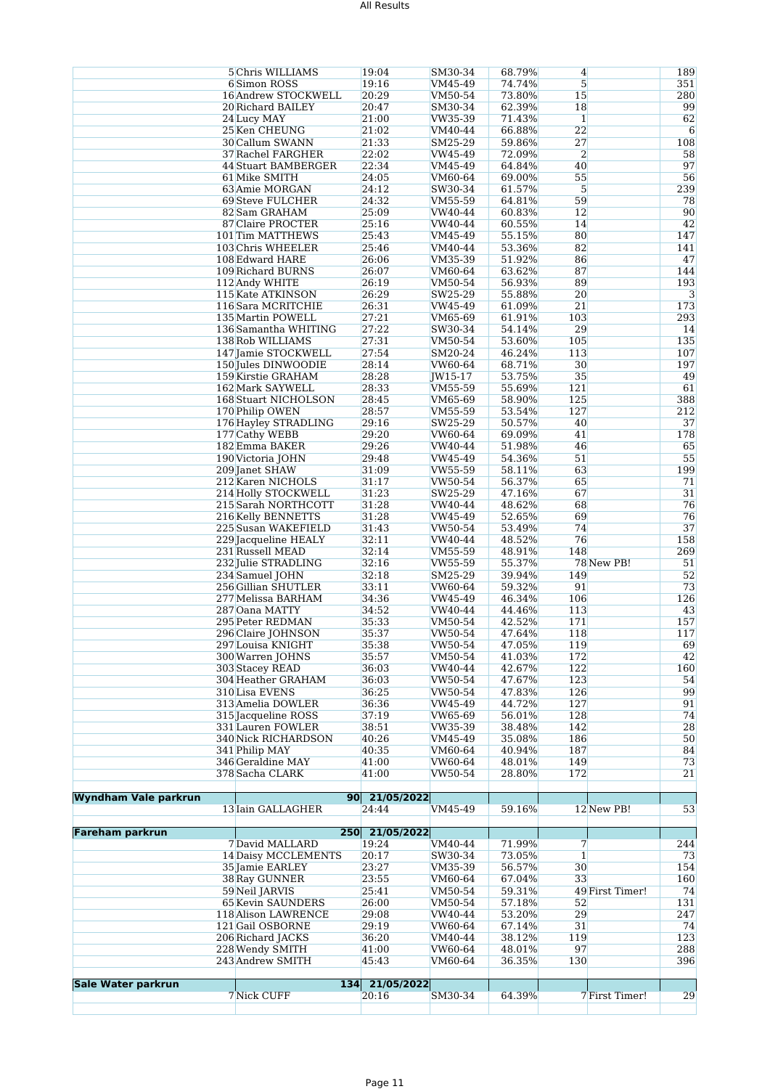### All Results

|                             | 5 Chris WILLIAMS         | 19:04                         | SM30-34        | 68.79% | 4               | 189 |
|-----------------------------|--------------------------|-------------------------------|----------------|--------|-----------------|-----|
|                             | 6 Simon ROSS             | 19:16                         | VM45-49        | 74.74% | 5               | 351 |
|                             | 16 Andrew STOCKWELL      | 20:29                         | VM50-54        | 73.80% | 15              | 280 |
|                             | 20 Richard BAILEY        | 20:47                         | SM30-34        | 62.39% | 18              | 99  |
|                             | 24 Lucy MAY              | 21:00                         | VW35-39        | 71.43% | $\mathbf{1}$    | 62  |
|                             | 25 Ken CHEUNG            | 21:02                         | VM40-44        | 66.88% | 22              | 6   |
|                             | 30 Callum SWANN          | 21:33                         | SM25-29        | 59.86% | 27              | 108 |
|                             | 37 Rachel FARGHER        | 22:02                         | VW45-49        | 72.09% | $\overline{2}$  | 58  |
|                             |                          |                               |                |        |                 | 97  |
|                             | 44 Stuart BAMBERGER      | 22:34                         | VM45-49        | 64.84% | 40              |     |
|                             | 61 Mike SMITH            | 24:05                         | VM60-64        | 69.00% | 55              | 56  |
|                             | 63 Amie MORGAN           | 24:12                         | SW30-34        | 61.57% | 5               | 239 |
|                             | 69 Steve FULCHER         | 24:32                         | VM55-59        | 64.81% | 59              | 78  |
|                             | 82 Sam GRAHAM            | 25:09                         | VW40-44        | 60.83% | 12              | 90  |
|                             | 87 Claire PROCTER        | 25:16                         | VW40-44        | 60.55% | 14              | 42  |
|                             | 101 Tim MATTHEWS         | 25:43                         | VM45-49        | 55.15% | 80              | 147 |
|                             | 103 Chris WHEELER        | 25:46                         | VM40-44        | 53.36% | 82              | 141 |
|                             | 108 Edward HARE          | 26:06                         | VM35-39        | 51.92% | 86              | 47  |
|                             | 109 Richard BURNS        | 26:07                         | VM60-64        | 63.62% | 87              | 144 |
|                             | 112 Andy WHITE           | 26:19                         | VM50-54        | 56.93% | 89              | 193 |
|                             | 115 Kate ATKINSON        | 26:29                         | SW25-29        | 55.88% | 20              | 3   |
|                             |                          | 26:31                         |                | 61.09% | 21              | 173 |
|                             | 116 Sara MCRITCHIE       |                               | VW45-49        |        |                 |     |
|                             | 135 Martin POWELL        | 27:21                         | VM65-69        | 61.91% | 103             | 293 |
|                             | 136 Samantha WHITING     | 27:22                         | SW30-34        | 54.14% | 29              | 14  |
|                             | 138 Rob WILLIAMS         | 27:31                         | VM50-54        | 53.60% | 105             | 135 |
|                             | 147 Jamie STOCKWELL      | 27:54                         | SM20-24        | 46.24% | 113             | 107 |
|                             | 150 Jules DINWOODIE      | 28:14                         | VW60-64        | 68.71% | 30              | 197 |
|                             | 159 Kirstie GRAHAM       | 28:28                         | <b>IW15-17</b> | 53.75% | 35              | 49  |
|                             | 162 Mark SAYWELL         | 28:33                         | VM55-59        | 55.69% | 121             | 61  |
|                             | 168 Stuart NICHOLSON     | 28:45                         | VM65-69        | 58.90% | 125             | 388 |
|                             | 170 Philip OWEN          | 28:57                         | VM55-59        | 53.54% | 127             | 212 |
|                             | 176 Hayley STRADLING     | 29:16                         | SW25-29        | 50.57% | 40              | 37  |
|                             | 177 Cathy WEBB           | 29:20                         | VW60-64        | 69.09% | 41              | 178 |
|                             | 182 Emma BAKER           | 29:26                         | VW40-44        | 51.98% | 46              | 65  |
|                             |                          |                               |                |        |                 |     |
|                             | 190 Victoria JOHN        | 29:48                         | VW45-49        | 54.36% | 51              | 55  |
|                             | 209 Janet SHAW           | 31:09                         | VW55-59        | 58.11% | 63              | 199 |
|                             | 212 Karen NICHOLS        | 31:17                         | VW50-54        | 56.37% | 65              | 71  |
|                             | 214 Holly STOCKWELL      | 31:23                         | SW25-29        | 47.16% | 67              | 31  |
|                             | 215 Sarah NORTHCOTT      | 31:28                         | VW40-44        | 48.62% | 68              | 76  |
|                             | 216 Kelly BENNETTS       | 31:28                         | VW45-49        | 52.65% | 69              | 76  |
|                             | 225 Susan WAKEFIELD      | 31:43                         | VW50-54        | 53.49% | 74              | 37  |
|                             | 229 Jacqueline HEALY     | 32:11                         | VW40-44        | 48.52% | 76              | 158 |
|                             | 231 Russell MEAD         | 32:14                         | VM55-59        | 48.91% | 148             | 269 |
|                             | 232 Julie STRADLING      | 32:16                         | VW55-59        | 55.37% | 78 New PB!      | 51  |
|                             | 234 Samuel JOHN          | 32:18                         | SM25-29        | 39.94% | 149             | 52  |
|                             |                          | 33:11                         |                |        |                 |     |
|                             | 256 Gillian SHUTLER      |                               | VW60-64        | 59.32% | 91              | 73  |
|                             | 277 Melissa BARHAM       | 34:36                         | VW45-49        | 46.34% | 106             | 126 |
|                             | 287 Oana MATTY           | 34:52                         | VW40-44        | 44.46% | 113             | 43  |
|                             | 295 Peter REDMAN         | 35:33                         | VM50-54        | 42.52% | 171             | 157 |
|                             | 296 Claire JOHNSON       | 35:37                         | VW50-54        | 47.64% | 118             | 117 |
|                             | 297 Louisa KNIGHT        | 35:38                         | VW50-54        | 47.05% | 119             | 69  |
|                             | 300 Warren JOHNS         | 35:57                         | VM50-54        | 41.03% | 172             | 42  |
|                             | 303 Stacey READ          | 36:03                         | VW40-44        | 42.67% | 122             | 160 |
|                             | 304 Heather GRAHAM       | 36:03                         | VW50-54        | 47.67% | 123             | 54  |
|                             | 310 Lisa EVENS           | 36:25                         | VW50-54        | 47.83% | 126             | 99  |
|                             | 313 Amelia DOWLER        | 36:36                         | VW45-49        | 44.72% | 127             | 91  |
|                             | 315 Jacqueline ROSS      | 37:19                         | VW65-69        | 56.01% | 128             | 74  |
|                             | 331 Lauren FOWLER        | 38:51                         | VW35-39        | 38.48% | 142             | 28  |
|                             | 340 Nick RICHARDSON      | 40:26                         | VM45-49        | 35.08% | 186             | 50  |
|                             | 341 Philip MAY           | 40:35                         | VM60-64        | 40.94% | 187             | 84  |
|                             | 346 Geraldine MAY        | 41:00                         | VW60-64        | 48.01% | 149             | 73  |
|                             |                          |                               |                |        |                 |     |
|                             | 378 Sacha CLARK          | 41:00                         | VW50-54        | 28.80% | 172             | 21  |
|                             |                          |                               |                |        |                 |     |
| <b>Wyndham Vale parkrun</b> |                          | 21/05/2022<br>90 <sub>1</sub> |                |        |                 |     |
|                             | 13 Iain GALLAGHER        | 24:44                         | VM45-49        | 59.16% | 12 New PB!      | 53  |
|                             |                          |                               |                |        |                 |     |
| <b>Fareham parkrun</b>      |                          | 250 21/05/2022                |                |        |                 |     |
|                             | 7 David MALLARD          | 19:24                         | VM40-44        | 71.99% | 7               | 244 |
|                             | 14 Daisy MCCLEMENTS      | 20:17                         | SW30-34        | 73.05% | $\mathbf{1}$    | 73  |
|                             | 35 Jamie EARLEY          | 23:27                         | VM35-39        | 56.57% | 30              | 154 |
|                             | 38 Ray GUNNER            | 23:55                         | VM60-64        | 67.04% | 33              | 160 |
|                             | 59 Neil JARVIS           | 25:41                         | VM50-54        | 59.31% | 49 First Timer! | 74  |
|                             | <b>65 Kevin SAUNDERS</b> | 26:00                         | VM50-54        | 57.18% | 52              | 131 |
|                             | 118 Alison LAWRENCE      | 29:08                         | VW40-44        | 53.20% | 29              | 247 |
|                             | 121 Gail OSBORNE         | 29:19                         | VW60-64        | 67.14% | 31              | 74  |
|                             | 206 Richard JACKS        | 36:20                         | VM40-44        | 38.12% | 119             | 123 |
|                             | 228 Wendy SMITH          |                               |                | 48.01% | 97              | 288 |
|                             |                          | 41:00                         | VW60-64        |        |                 |     |
|                             | 243 Andrew SMITH         | 45:43                         | VM60-64        | 36.35% | 130             | 396 |
|                             |                          |                               |                |        |                 |     |
| <b>Sale Water parkrun</b>   |                          | 134 21/05/2022                |                |        |                 |     |
|                             | 7 Nick CUFF              | 20:16                         | SM30-34        | 64.39% | 7 First Timer!  | 29  |
|                             |                          |                               |                |        |                 |     |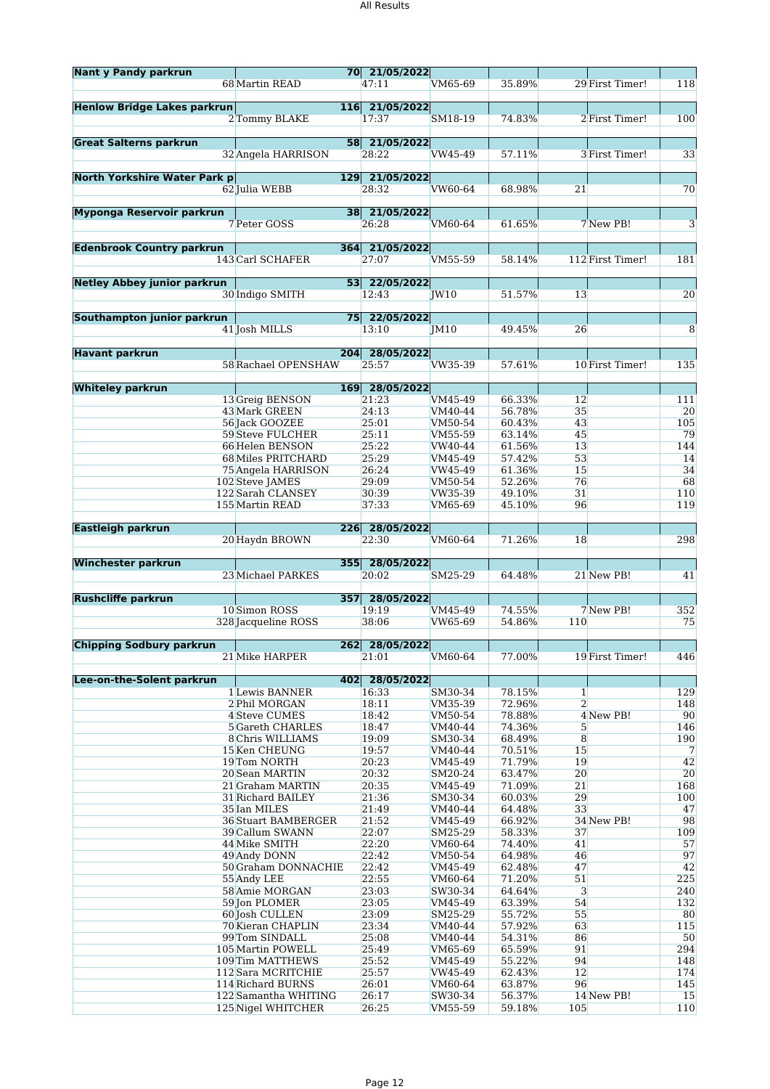| <b>Nant y Pandy parkrun</b>         |                                           | 70 21/05/2022           |                    |                  |                      |                  |            |
|-------------------------------------|-------------------------------------------|-------------------------|--------------------|------------------|----------------------|------------------|------------|
|                                     | 68 Martin READ                            | 47:11                   | VM65-69            | 35.89%           |                      | 29 First Timer!  | 118        |
|                                     |                                           |                         |                    |                  |                      |                  |            |
| <b>Henlow Bridge Lakes parkrun</b>  |                                           | 116 21/05/2022          |                    |                  |                      |                  |            |
|                                     | 2 Tommy BLAKE                             | 17:37                   | SM18-19            | 74.83%           |                      | 2 First Timer!   | 100        |
|                                     |                                           |                         |                    |                  |                      |                  |            |
| <b>Great Salterns parkrun</b>       |                                           | 58 21/05/2022           |                    |                  |                      |                  |            |
|                                     | 32 Angela HARRISON                        | 28:22                   | VW45-49            | 57.11%           |                      | 3 First Timer!   | 33         |
| <b>North Yorkshire Water Park p</b> |                                           | 129 21/05/2022          |                    |                  |                      |                  |            |
|                                     | 62 Julia WEBB                             | 28:32                   | VW60-64            | 68.98%           | 21                   |                  | 70         |
|                                     |                                           |                         |                    |                  |                      |                  |            |
| Myponga Reservoir parkrun           |                                           | 38 21/05/2022           |                    |                  |                      |                  |            |
|                                     | 7 Peter GOSS                              | 26:28                   | VM60-64            | 61.65%           |                      | 7 New PB!        | 3          |
|                                     |                                           |                         |                    |                  |                      |                  |            |
| <b>Edenbrook Country parkrun</b>    |                                           | 364 21/05/2022          |                    |                  |                      |                  |            |
|                                     | 143 Carl SCHAFER                          | 27:07                   | VM55-59            | 58.14%           |                      | 112 First Timer! | 181        |
| <b>Netley Abbey junior parkrun</b>  |                                           | 53 22/05/2022           |                    |                  |                      |                  |            |
|                                     | 30 Indigo SMITH                           | 12:43                   | JW10               | 51.57%           | 13                   |                  | 20         |
|                                     |                                           |                         |                    |                  |                      |                  |            |
| Southampton junior parkrun          |                                           | 75 22/05/2022           |                    |                  |                      |                  |            |
|                                     | 41 Josh MILLS                             | 13:10                   | IM10               | 49.45%           | 26                   |                  | 8          |
|                                     |                                           |                         |                    |                  |                      |                  |            |
| <b>Havant parkrun</b>               |                                           | 204 28/05/2022          |                    |                  |                      |                  |            |
|                                     | 58 Rachael OPENSHAW                       | 25:57                   | VW35-39            | 57.61%           |                      | 10 First Timer!  | 135        |
| <b>Whiteley parkrun</b>             |                                           | 169 28/05/2022          |                    |                  |                      |                  |            |
|                                     | 13 Greig BENSON                           | 21:23                   | VM45-49            | 66.33%           | 12                   |                  | 111        |
|                                     | 43 Mark GREEN                             | 24:13                   | VM40-44            | 56.78%           | 35                   |                  | 20         |
|                                     | 56 Jack GOOZEE                            | 25:01                   | VM50-54            | 60.43%           | 43                   |                  | 105        |
|                                     | 59 Steve FULCHER                          | 25:11                   | VM55-59            | 63.14%           | 45                   |                  | 79         |
|                                     | 66 Helen BENSON                           | 25:22                   | VW40-44            | 61.56%           | 13                   |                  | 144        |
|                                     | 68 Miles PRITCHARD                        | 25:29                   | VM45-49            | 57.42%           | 53                   |                  | 14         |
|                                     | 75 Angela HARRISON                        | 26:24                   | VW45-49            | 61.36%           | 15<br>76             |                  | 34<br>68   |
|                                     | 102 Steve JAMES<br>122 Sarah CLANSEY      | 29:09<br>30:39          | VM50-54<br>VW35-39 | 52.26%<br>49.10% | 31                   |                  | 110        |
|                                     | 155 Martin READ                           | 37:33                   | VM65-69            | 45.10%           | 96                   |                  | 119        |
|                                     |                                           |                         |                    |                  |                      |                  |            |
| <b>Eastleigh parkrun</b>            |                                           | 226 28/05/2022          |                    |                  |                      |                  |            |
|                                     | 20 Haydn BROWN                            | 22:30                   | VM60-64            | 71.26%           | 18                   |                  | 298        |
|                                     |                                           |                         |                    |                  |                      |                  |            |
| <b>Winchester parkrun</b>           | 23 Michael PARKES                         | 355 28/05/2022<br>20:02 | SM25-29            | 64.48%           |                      | 21 New PB!       | 41         |
|                                     |                                           |                         |                    |                  |                      |                  |            |
| <b>Rushcliffe parkrun</b>           |                                           | 357 28/05/2022          |                    |                  |                      |                  |            |
|                                     | 10 Simon ROSS                             | 19:19                   | VM45-49            | 74.55%           |                      | 7 New PB!        | 352        |
|                                     | 328 Jacqueline ROSS                       | 38:06                   | VW65-69            | 54.86%           | 110                  |                  | 75         |
|                                     |                                           |                         |                    |                  |                      |                  |            |
| <b>Chipping Sodbury parkrun</b>     |                                           | 262 28/05/2022          |                    |                  |                      |                  |            |
|                                     | 21 Mike HARPER                            | 21:01                   | VM60-64            | 77.00%           |                      | 19 First Timer!  | 446        |
| Lee-on-the-Solent parkrun           | 402                                       | 28/05/2022              |                    |                  |                      |                  |            |
|                                     | 1 Lewis BANNER                            | 16:33                   | SM30-34            | 78.15%           | $\mathbf{1}$         |                  | 129        |
|                                     | 2 Phil MORGAN                             | 18:11                   | VM35-39            | 72.96%           | $\overline{2}$       |                  | 148        |
|                                     | 4 Steve CUMES                             | 18:42                   | VM50-54            | 78.88%           |                      | 4 New PB!        | 90         |
|                                     | <b>5</b> Gareth CHARLES                   | 18:47                   | VM40-44            | 74.36%           | 5                    |                  | 146        |
|                                     | 8 Chris WILLIAMS                          | 19:09                   | SM30-34            | 68.49%           | 8                    |                  | 190        |
|                                     | 15 Ken CHEUNG                             | 19:57                   | VM40-44            | 70.51%           | 15                   |                  | 7          |
|                                     | 19 Tom NORTH<br>20 Sean MARTIN            | 20:23<br>20:32          | VM45-49            | 71.79%<br>63.47% | 19<br>20             |                  | 42<br>20   |
|                                     | 21 Graham MARTIN                          | 20:35                   | SM20-24<br>VM45-49 | 71.09%           | 21                   |                  | 168        |
|                                     | 31 Richard BAILEY                         | 21:36                   | SM30-34            | 60.03%           | 29                   |                  | 100        |
|                                     | 35 Ian MILES                              | 21:49                   | VM40-44            | 64.48%           | 33                   |                  | 47         |
|                                     | <b>36 Stuart BAMBERGER</b>                | 21:52                   | VM45-49            | 66.92%           |                      | 34 New PB!       | 98         |
|                                     | 39 Callum SWANN                           | 22:07                   | SM25-29            | 58.33%           | 37                   |                  | 109        |
|                                     | 44 Mike SMITH                             | 22:20                   | VM60-64            | 74.40%           | 41                   |                  | 57         |
|                                     | 49 Andy DONN                              | 22:42                   | VM50-54            | 64.98%           | 46                   |                  | 97         |
|                                     | 50 Graham DONNACHIE                       | 22:42                   | VM45-49            | 62.48%           | 47                   |                  | 42         |
|                                     | 55 Andy LEE<br>58 Amie MORGAN             | 22:55<br>23:03          | VM60-64<br>SW30-34 | 71.20%<br>64.64% | 51<br>$\overline{3}$ |                  | 225<br>240 |
|                                     | 59 Jon PLOMER                             | 23:05                   | VM45-49            | 63.39%           | 54                   |                  | 132        |
|                                     | 60 Josh CULLEN                            | 23:09                   | SM25-29            | 55.72%           | 55                   |                  | 80         |
|                                     | 70 Kieran CHAPLIN                         | 23:34                   | VM40-44            | 57.92%           | 63                   |                  | 115        |
|                                     | 99Tom SINDALL                             | 25:08                   | VM40-44            | 54.31%           | 86                   |                  | 50         |
|                                     | 105 Martin POWELL                         | 25:49                   | VM65-69            | 65.59%           | 91                   |                  | 294        |
|                                     | 109 Tim MATTHEWS                          | 25:52                   | VM45-49            | 55.22%           | 94                   |                  | 148        |
|                                     | 112 Sara MCRITCHIE                        | 25:57                   | VW45-49            | 62.43%           | 12                   |                  | 174        |
|                                     | 114 Richard BURNS<br>122 Samantha WHITING | 26:01<br>26:17          | VM60-64            | 63.87%<br>56.37% | 96                   | 14 New PB!       | 145<br>15  |
|                                     | 125 Nigel WHITCHER                        | 26:25                   | SW30-34<br>VM55-59 | 59.18%           | 105                  |                  | 110        |
|                                     |                                           |                         |                    |                  |                      |                  |            |